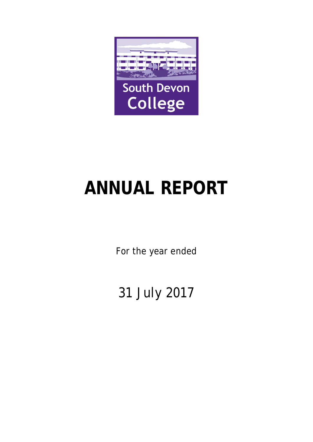

# **ANNUAL REPORT**

For the year ended

31 July 2017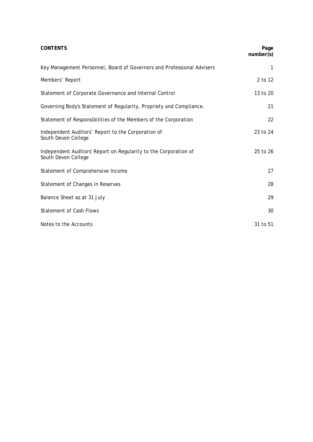| <b>CONTENTS</b>                                                                         | Page<br>number(s) |
|-----------------------------------------------------------------------------------------|-------------------|
| Key Management Personnel, Board of Governors and Professional Advisers                  | 1                 |
| Members' Report                                                                         | 2 to 12           |
| Statement of Corporate Governance and Internal Control                                  | 13 to 20          |
| Governing Body's Statement of Regularity, Propriety and Compliance.                     | 21                |
| Statement of Responsibilities of the Members of the Corporation                         | 22                |
| Independent Auditors' Report to the Corporation of<br>South Devon College               | 23 to 24          |
| Independent Auditors' Report on Regularity to the Corporation of<br>South Devon College | 25 to 26          |
| Statement of Comprehensive Income                                                       | 27                |
| Statement of Changes in Reserves                                                        | 28                |
| Balance Sheet as at 31 July                                                             | 29                |
| <b>Statement of Cash Flows</b>                                                          | 30                |
| Notes to the Accounts                                                                   | 31 to 51          |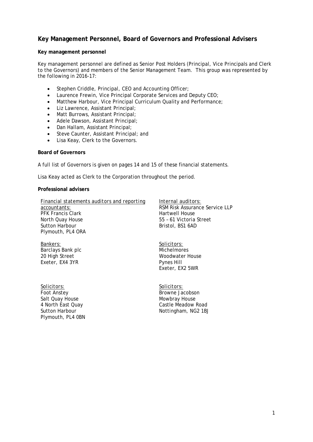# **Key Management Personnel, Board of Governors and Professional Advisers**

#### **Key management personnel**

Key management personnel are defined as Senior Post Holders (Principal, Vice Principals and Clerk to the Governors) and members of the Senior Management Team. This group was represented by the following in 2016-17:

- Stephen Criddle, Principal, CEO and Accounting Officer;
- Laurence Frewin, Vice Principal Corporate Services and Deputy CEO;
- Matthew Harbour, Vice Principal Curriculum Quality and Performance;
- Liz Lawrence, Assistant Principal;
- Matt Burrows, Assistant Principal;
- Adele Dawson, Assistant Principal;
- Dan Hallam, Assistant Principal;
- Steve Caunter, Assistant Principal; and
- Lisa Keay, Clerk to the Governors.

#### **Board of Governors**

A full list of Governors is given on pages 14 and 15 of these financial statements.

Lisa Keay acted as Clerk to the Corporation throughout the period.

#### **Professional advisers**

*Financial statements auditors and reporting accountants:* PFK Francis Clark North Quay House Sutton Harbour Plymouth, PL4 ORA

*Bankers:* Barclays Bank plc 20 High Street Exeter, EX4 3YR

*Solicitors:* Foot Anstey Salt Quay House 4 North East Quay Sutton Harbour Plymouth, PL4 0BN *Internal auditors:*

RSM Risk Assurance Service LLP Hartwell House 55 – 61 Victoria Street Bristol, BS1 6AD

*Solicitors:* **Michelmores** Woodwater House Pynes Hill Exeter, EX2 5WR

*Solicitors:* Browne Jacobson Mowbray House Castle Meadow Road Nottingham, NG2 1BJ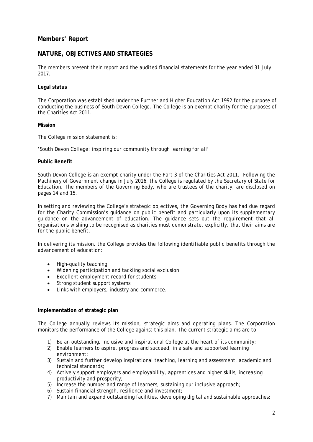# **Members' Report**

# **NATURE, OBJECTIVES AND STRATEGIES**

The members present their report and the audited financial statements for the year ended 31 July 2017.

#### **Legal status**

The Corporation was established under the Further and Higher Education Act 1992 for the purpose of conducting the business of South Devon College. The College is an exempt charity for the purposes of the Charities Act 2011.

#### **Mission**

The College mission statement is:

*'South Devon College: inspiring our community through learning for all'*

#### **Public Benefit**

South Devon College is an exempt charity under the Part 3 of the Charities Act 2011. Following the Machinery of Government change in July 2016, the College is regulated by the Secretary of State for Education. The members of the Governing Body, who are trustees of the charity, are disclosed on pages 14 and 15.

In setting and reviewing the College's strategic objectives, the Governing Body has had due regard for the Charity Commission's guidance on public benefit and particularly upon its supplementary guidance on the advancement of education. The guidance sets out the requirement that all organisations wishing to be recognised as charities must demonstrate, explicitly, that their aims are for the public benefit.

In delivering its mission, the College provides the following identifiable public benefits through the advancement of education:

- High-quality teaching
- Widening participation and tackling social exclusion
- Excellent employment record for students
- Strong student support systems
- Links with employers, industry and commerce.

#### **Implementation of strategic plan**

The College annually reviews its mission, strategic aims and operating plans. The Corporation monitors the performance of the College against this plan. The current strategic aims are to:

- 1) Be an outstanding, inclusive and inspirational College at the heart of its community;
- 2) Enable learners to aspire, progress and succeed, in a safe and supported learning environment;
- 3) Sustain and further develop inspirational teaching, learning and assessment, academic and technical standards;
- 4) Actively support employers and employability, apprentices and higher skills, increasing productivity and prosperity;
- 5) Increase the number and range of learners, sustaining our inclusive approach;
- 6) Sustain financial strength, resilience and investment;
- 7) Maintain and expand outstanding facilities, developing digital and sustainable approaches;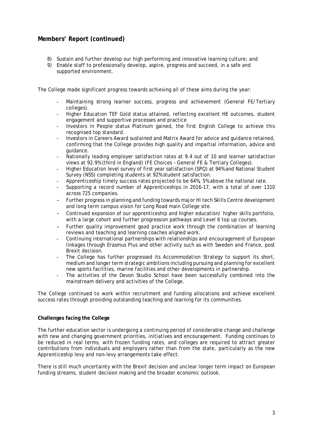- 8) Sustain and further develop our high performing and innovative learning culture; and
- 9) Enable staff to professionally develop, aspire, progress and succeed, in a safe and supported environment.

The College made significant progress towards achieving all of these aims during the year:

- Maintaining strong learner success, progress and achievement (General FE/Tertiary colleges).
- Higher Education TEF Gold status attained, reflecting excellent HE outcomes, student engagement and supportive processes and practice
- Investors in People status Platinum gained, the first English College to achieve this recognised top standard.
- Investors in Careers Award sustained and Matrix Award for advice and guidance retained, confirming that the College provides high quality and impartial information, advice and guidance.
- Nationally leading employer satisfaction rates at 9.4 out of 10 and learner satisfaction views at 92.9% (third in England) (FE Choices – General FE & Tertiary Colleges).
- Higher Education level survey of first year satisfaction (SPQ) at 94% and National Student Survey (NSS) completing students at 92% student satisfaction.
- Apprenticeship timely success rates projected to be 64%, 5% above the national rate.
- Supporting a record number of Apprenticeships in 2016-17, with a total of over 1310 across 725 companies.
- Further progress in planning and funding towards major Hi tech Skills Centre development and long term campus vision for Long Road main College site.
- Continued expansion of our apprenticeship and higher education/ higher skills portfolio, with a large cohort and further progression pathways and Level 6 top up courses.
- Further quality improvement good practice work through the combination of learning reviews and teaching and learning coaches aligned work.
- Continuing international partnerships with relationships and encouragement of European linkages through Erasmus Plus and other activity such as with Sweden and France, post Brexit decision.
- The College has further progressed its Accommodation Strategy to support its short, medium and longer term strategic ambitions including pursuing and planning for excellent new sports facilities, marine facilities and other developments in partnership.
- The activities of the Devon Studio School have been successfully combined into the mainstream delivery and activities of the College.

The College continued to work within recruitment and funding allocations and achieve excellent success rates through providing outstanding teaching and learning for its communities.

#### **Challenges facing the College**

The further education sector is undergoing a continuing period of considerable change and challenge with new and changing government priorities, initiatives and encouragement. Funding continues to be reduced in real terms, with frozen funding rates, and colleges are required to attract greater contributions from individuals and employers rather than from the state, particularly as the new Apprenticeship levy and non-levy arrangements take effect.

There is still much uncertainty with the Brexit decision and unclear longer term impact on European funding streams, student decision making and the broader economic outlook.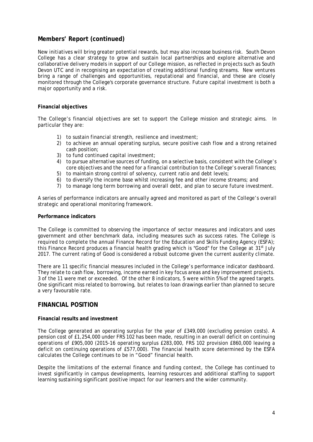New initiatives will bring greater potential rewards, but may also increase business risk. South Devon College has a clear strategy to grow and sustain local partnerships and explore alternative and collaborative delivery models in support of our College mission, as reflected in projects such as South Devon UTC and in recognising an expectation of creating additional funding streams. New ventures bring a range of challenges and opportunities, reputational and financial, and these are closely monitored through the College's corporate governance structure. Future capital investment is both a major opportunity and a risk.

#### **Financial objectives**

The College's financial objectives are set to support the College mission and strategic aims. In particular they are:

- 1) to sustain financial strength, resilience and investment;
- 2) to achieve an annual operating surplus, secure positive cash flow and a strong retained cash position;
- 3) to fund continued capital investment;
- 4) to pursue alternative sources of funding, on a selective basis, consistent with the College's core objectives and the need for a financial contribution to the College's overall finances;
- 5) to maintain strong control of solvency, current ratio and debt levels;
- 6) to diversify the income base whilst increasing fee and other income streams; and
- 7) to manage long term borrowing and overall debt, and plan to secure future investment.

A series of performance indicators are annually agreed and monitored as part of the College's overall strategic and operational monitoring framework.

#### **Performance indicators**

The College is committed to observing the importance of sector measures and indicators and uses government and other benchmark data, including measures such as success rates. The College is required to complete the annual Finance Record for the Education and Skills Funding Agency (ESFA); this Finance Record produces a financial health grading which is "Good" for the College at 31<sup>st</sup> July 2017. The current rating of Good is considered a robust outcome given the current austerity climate.

There are 11 specific financial measures included in the College's performance indicator dashboard. They relate to cash flow, borrowing, income earned in key focus areas and key improvement projects. 3 of the 11 were met or exceeded. Of the other 8 indicators, 5 were within 5% of the agreed targets. One significant miss related to borrowing, but relates to loan drawings earlier than planned to secure a very favourable rate.

### **FINANCIAL POSITION**

#### **Financial results and investment**

The College generated an operating surplus for the year of £349,000 (excluding pension costs). A pension cost of £1,254,000 under FRS 102 has been made, resulting in an overall deficit on continuing operations of £905,000 (2015-16 operating surplus £283,000, FRS 102 provision £860,000 leaving a deficit on continuing operations of £577,000). The financial health score determined by the ESFA calculates the College continues to be in "Good" financial health.

Despite the limitations of the external finance and funding context, the College has continued to invest significantly in campus developments, learning resources and additional staffing to support learning sustaining significant positive impact for our learners and the wider community.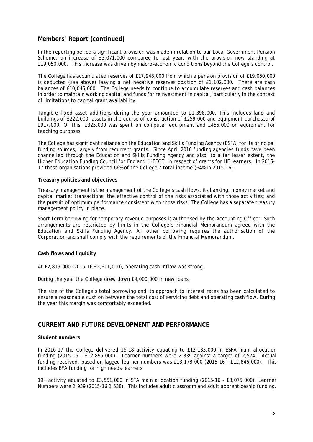In the reporting period a significant provision was made in relation to our Local Government Pension Scheme; an increase of £3,071,000 compared to last year, with the provision now standing at £19,050,000. This increase was driven by macro-economic conditions beyond the College's control.

The College has accumulated reserves of £17,948,000 from which a pension provision of £19,050,000 is deducted (see above) leaving a net negative reserves position of £1,102,000. There are cash balances of £10,046,000. The College needs to continue to accumulate reserves and cash balances in order to maintain working capital and funds for reinvestment in capital, particularly in the context of limitations to capital grant availability.

Tangible fixed asset additions during the year amounted to £1,398,000. This includes land and buildings of £222,000, assets in the course of construction of £259,000 and equipment purchased of £917,000. Of this, £325,000 was spent on computer equipment and £455,000 on equipment for teaching purposes.

The College has significant reliance on the Education and Skills Funding Agency (ESFA) for its principal funding sources, largely from recurrent grants. Since April 2010 funding agencies' funds have been channelled through the Education and Skills Funding Agency and also, to a far lesser extent, the Higher Education Funding Council for England (HEFCE) in respect of grants for HE learners. In 2016- 17 these organisations provided 66% of the College's total income (64% in 2015-16).

#### **Treasury policies and objectives**

Treasury management is the management of the College's cash flows, its banking, money market and capital market transactions; the effective control of the risks associated with those activities; and the pursuit of optimum performance consistent with those risks. The College has a separate treasury management policy in place.

Short term borrowing for temporary revenue purposes is authorised by the Accounting Officer. Such arrangements are restricted by limits in the College's Financial Memorandum agreed with the Education and Skills Funding Agency. All other borrowing requires the authorisation of the Corporation and shall comply with the requirements of the Financial Memorandum.

#### **Cash flows and liquidity**

At £2,819,000 (2015-16 £2,611,000), operating cash inflow was strong.

During the year the College drew down £4,000,000 in new loans.

The size of the College's total borrowing and its approach to interest rates has been calculated to ensure a reasonable cushion between the total cost of servicing debt and operating cash flow. During the year this margin was comfortably exceeded.

# **CURRENT AND FUTURE DEVELOPMENT AND PERFORMANCE**

#### **Student numbers**

In 2016-17 the College delivered 16-18 activity equating to £12,133,000 in ESFA main allocation funding (2015-16 - £12,895,000). Learner numbers were 2,339 against a target of 2,574. Actual funding received, based on lagged learner numbers was £13,178,000 (2015-16 - £12,846,000). This includes EFA funding for high needs learners.

19+ activity equated to £3,551,000 in SFA main allocation funding (2015-16 - £3,075,000). Learner Numbers were 2,939 (2015-16 2,538). This includes adult classroom and adult apprenticeship funding.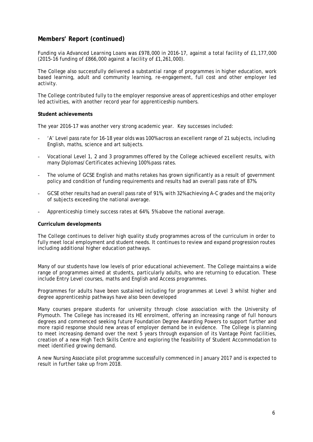Funding via Advanced Learning Loans was £978,000 in 2016-17, against a total facility of £1,177,000 (2015-16 funding of £866,000 against a facility of £1,261,000).

The College also successfully delivered a substantial range of programmes in higher education, work based learning, adult and community learning, re-engagement, full cost and other employer led activity.

The College contributed fully to the employer responsive areas of apprenticeships and other employer led activities, with another record year for apprenticeship numbers.

#### **Student achievements**

The year 2016-17 was another very strong academic year. Key successes included:

- 'A' Level pass rate for 16-18 year olds was 100% across an excellent range of 21 subjects, including English, maths, science and art subjects.
- Vocational Level 1, 2 and 3 programmes offered by the College achieved excellent results, with many Diplomas/Certificates achieving 100% pass rates.
- The volume of GCSE English and maths retakes has grown significantly as a result of government policy and condition of funding requirements and results had an overall pass rate of 87%.
- GCSE other results had an overall pass rate of 91%, with 32% achieving A-C grades and the majority of subjects exceeding the national average.
- Apprenticeship timely success rates at 64%, 5% above the national average.

#### **Curriculum developments**

The College continues to deliver high quality study programmes across of the curriculum in order to fully meet local employment and student needs. It continues to review and expand progression routes including additional higher education pathways.

Many of our students have low levels of prior educational achievement. The College maintains a wide range of programmes aimed at students, particularly adults, who are returning to education. These include Entry Level courses, maths and English and Access programmes.

Programmes for adults have been sustained including for programmes at Level 3 whilst higher and degree apprenticeship pathways have also been developed

Many courses prepare students for university through close association with the University of Plymouth. The College has increased its HE enrolment, offering an increasing range of full honours degrees and commenced seeking future Foundation Degree Awarding Powers to support further and more rapid response should new areas of employer demand be in evidence. The College is planning to meet increasing demand over the next 5 years through expansion of its Vantage Point facilities, creation of a new High Tech Skills Centre and exploring the feasibility of Student Accommodation to meet identified growing demand.

A new Nursing Associate pilot programme successfully commenced in January 2017 and is expected to result in further take up from 2018.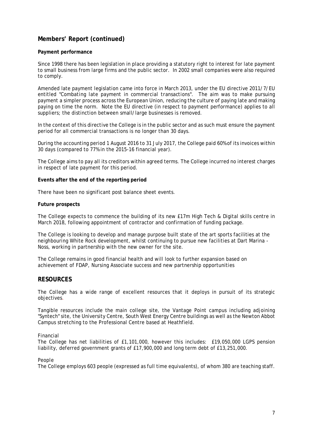#### **Payment performance**

Since 1998 there has been legislation in place providing a statutory right to interest for late payment to small business from large firms and the public sector. In 2002 small companies were also required to comply.

Amended late payment legislation came into force in March 2013, under the EU directive 2011/7/EU entitled "C*ombating late payment in commercial transactions".* The aim was to make pursuing payment a simpler process across the European Union, reducing the culture of paying late and making paying on time the norm. Note the EU directive (in respect to payment performance) applies to all suppliers; the distinction between small/large businesses is removed.

In the context of this directive the College is in the public sector and as such must ensure the payment period for all commercial transactions is no longer than 30 days.

During the accounting period 1 August 2016 to 31 July 2017, the College paid 60% of its invoices within 30 days (compared to 77% in the 2015-16 financial year).

The College aims to pay all its creditors within agreed terms. The College incurred no interest charges in respect of late payment for this period.

#### **Events after the end of the reporting period**

There have been no significant post balance sheet events.

#### **Future prospects**

The College expects to commence the building of its new £17m High Tech & Digital skills centre in March 2018, following appointment of contractor and confirmation of funding package.

The College is looking to develop and manage purpose built state of the art sports facilities at the neighbouring White Rock development, whilst continuing to pursue new facilities at Dart Marina - Noss, working in partnership with the new owner for the site.

The College remains in good financial health and will look to further expansion based on achievement of FDAP, Nursing Associate success and new partnership opportunities

#### **RESOURCES**

The College has a wide range of excellent resources that it deploys in pursuit of its strategic objectives.

Tangible resources include the main college site, the Vantage Point campus including adjoining "Syntech" site, the University Centre, South West Energy Centre buildings as well as the Newton Abbot Campus stretching to the Professional Centre based at Heathfield.

#### *Financial*

The College has net liabilities of £1,101,000, however this includes: £19,050,000 LGPS pension liability, deferred government grants of £17,900,000 and long term debt of £13,251,000.

#### *People*

The College employs 603 people (expressed as full time equivalents), of whom 380 are teaching staff.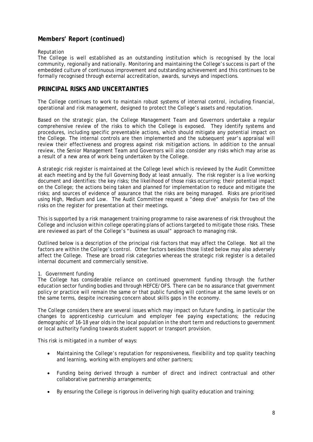#### *Reputation*

The College is well established as an outstanding institution which is recognised by the local community, regionally and nationally. Monitoring and maintaining the College's success is part of the embedded culture of continuous improvement and outstanding achievement and this continues to be formally recognised through external accreditation, awards, surveys and inspections.

## **PRINCIPAL RISKS AND UNCERTAINTIES**

The College continues to work to maintain robust systems of internal control, including financial, operational and risk management, designed to protect the College's assets and reputation.

Based on the strategic plan, the College Management Team and Governors undertake a regular comprehensive review of the risks to which the College is exposed. They identify systems and procedures, including specific preventable actions, which should mitigate any potential impact on the College. The internal controls are then implemented and the subsequent year's appraisal will review their effectiveness and progress against risk mitigation actions. In addition to the annual review, the Senior Management Team and Governors will also consider any risks which may arise as a result of a new area of work being undertaken by the College.

A strategic risk register is maintained at the College level which is reviewed by the Audit Committee at each meeting and by the full Governing Body at least annually. The risk register is a live working document and identifies: the key risks; the likelihood of those risks occurring; their potential impact on the College; the actions being taken and planned for implementation to reduce and mitigate the risks; and sources of evidence of assurance that the risks are being managed. Risks are prioritised using High, Medium and Low. The Audit Committee request a "deep dive" analysis for two of the risks on the register for presentation at their meetings.

This is supported by a risk management training programme to raise awareness of risk throughout the College and inclusion within college operating plans of actions targeted to mitigate those risks. These are reviewed as part of the College's "business as usual" approach to managing risk.

Outlined below is a description of the principal risk factors that may affect the College. Not all the factors are within the College's control. Other factors besides those listed below may also adversely affect the College. These are broad risk categories whereas the strategic risk register is a detailed internal document and commercially sensitive.

#### 1. Government funding

The College has considerable reliance on continued government funding through the further education sector funding bodies and through HEFCE/OFS. There can be no assurance that government policy or practice will remain the same or that public funding will continue at the same levels or on the same terms, despite increasing concern about skills gaps in the economy.

The College considers there are several issues which may impact on future funding, in particular the changes to apprenticeship curriculum and employer fee paying expectations; the reducing demographic of 16-18 year olds in the local population in the short term and reductions to government or local authority funding towards student support or transport provision.

This risk is mitigated in a number of ways:

- Maintaining the College's reputation for responsiveness, flexibility and top quality teaching and learning, working with employers and other partners;
- Funding being derived through a number of direct and indirect contractual and other collaborative partnership arrangements;
- By ensuring the College is rigorous in delivering high quality education and training;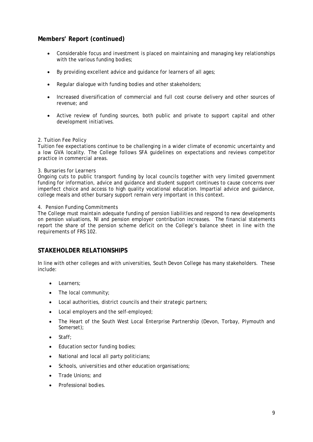- Considerable focus and investment is placed on maintaining and managing key relationships with the various funding bodies;
- By providing excellent advice and guidance for learners of all ages;
- Regular dialogue with funding bodies and other stakeholders:
- Increased diversification of commercial and full cost course delivery and other sources of revenue; and
- Active review of funding sources, both public and private to support capital and other development initiatives.

#### 2. Tuition Fee Policy

Tuition fee expectations continue to be challenging in a wider climate of economic uncertainty and a low GVA locality. The College follows SFA guidelines on expectations and reviews competitor practice in commercial areas.

#### 3. Bursaries for Learners

Ongoing cuts to public transport funding by local councils together with very limited government funding for information, advice and guidance and student support continues to cause concerns over imperfect choice and access to high quality vocational education. Impartial advice and guidance, college meals and other bursary support remain very important in this context.

#### 4. Pension Funding Commitments

The College must maintain adequate funding of pension liabilities and respond to new developments on pension valuations, NI and pension employer contribution increases. The financial statements report the share of the pension scheme deficit on the College's balance sheet in line with the requirements of FRS 102.

# **STAKEHOLDER RELATIONSHIPS**

In line with other colleges and with universities, South Devon College has many stakeholders. These include:

- Learners:
- The local community:
- Local authorities, district councils and their strategic partners;
- Local employers and the self-employed;
- The Heart of the South West Local Enterprise Partnership (Devon, Torbay, Plymouth and Somerset);
- Staff:
- Education sector funding bodies;
- National and local all party politicians;
- Schools, universities and other education organisations;
- Trade Unions; and
- Professional bodies.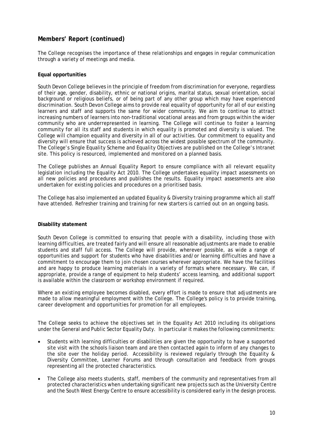The College recognises the importance of these relationships and engages in regular communication through a variety of meetings and media.

#### **Equal opportunities**

South Devon College believes in the principle of freedom from discrimination for everyone, regardless of their age, gender, disability, ethnic or national origins, marital status, sexual orientation, social background or religious beliefs, or of being part of any other group which may have experienced discrimination. South Devon College aims to provide real equality of opportunity for all of our existing learners and staff and supports the same for wider community. We aim to continue to attract increasing numbers of learners into non-traditional vocational areas and from groups within the wider community who are underrepresented in learning. The College will continue to foster a learning community for all its staff and students in which equality is promoted and diversity is valued. The College will champion equality and diversity in all of our activities. Our commitment to equality and diversity will ensure that success is achieved across the widest possible spectrum of the community. The College's Single Equality Scheme and Equality Objectives are published on the College's Intranet site. This policy is resourced, implemented and monitored on a planned basis.

The College publishes an Annual Equality Report to ensure compliance with all relevant equality legislation including the Equality Act 2010. The College undertakes equality impact assessments on all new policies and procedures and publishes the results. Equality impact assessments are also undertaken for existing policies and procedures on a prioritised basis.

The College has also implemented an updated Equality & Diversity training programme which all staff have attended. Refresher training and training for new starters is carried out on an ongoing basis.

#### **Disability statement**

South Devon College is committed to ensuring that people with a disability, including those with learning difficulties, are treated fairly and will ensure all reasonable adjustments are made to enable students and staff full access. The College will provide, wherever possible, as wide a range of opportunities and support for students who have disabilities and/or learning difficulties and have a commitment to encourage them to join chosen courses wherever appropriate. We have the facilities and are happy to produce learning materials in a variety of formats where necessary. We can, if appropriate, provide a range of equipment to help students' access learning, and additional support is available within the classroom or workshop environment if required.

Where an existing employee becomes disabled, every effort is made to ensure that adjustments are made to allow meaningful employment with the College. The College's policy is to provide training, career development and opportunities for promotion for all employees.

The College seeks to achieve the objectives set in the Equality Act 2010 including its obligations under the General and Public Sector Equality Duty. In particular it makes the following commitments:

- Students with learning difficulties or disabilities are given the opportunity to have a supported site visit with the schools liaison team and are then contacted again to inform of any changes to the site over the holiday period. Accessibility is reviewed regularly through the Equality & Diversity Committee, Learner Forums and through consultation and feedback from groups representing all the protected characteristics.
- The College also meets students, staff, members of the community and representatives from all protected characteristics when undertaking significant new projects such as the University Centre and the South West Energy Centre to ensure accessibility is considered early in the design process.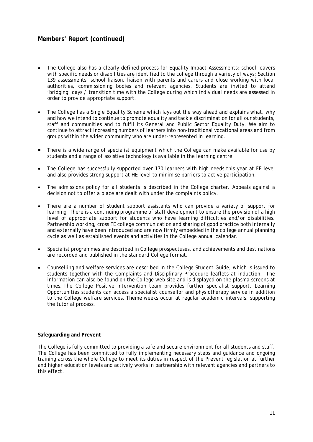- The College also has a clearly defined process for Equality Impact Assessments; school leavers with specific needs or disabilities are identified to the college through a variety of ways: Section 139 assessments, school liaison, liaison with parents and carers and close working with local authorities, commissioning bodies and relevant agencies. Students are invited to attend 'bridging' days / transition time with the College during which individual needs are assessed in order to provide appropriate support.
- The College has a Single Equality Scheme which lays out the way ahead and explains what, why and how we intend to continue to promote equality and tackle discrimination for all our students, staff and communities and to fulfil its General and Public Sector Equality Duty. We aim to continue to attract increasing numbers of learners into non-traditional vocational areas and from groups within the wider community who are under-represented in learning.
- There is a wide range of specialist equipment which the College can make available for use by students and a range of assistive technology is available in the learning centre.
- The College has successfully supported over 170 learners with high needs this year at FE level and also provides strong support at HE level to minimise barriers to active participation.
- The admissions policy for all students is described in the College charter. Appeals against a decision not to offer a place are dealt with under the complaints policy.
- There are a number of student support assistants who can provide a variety of support for learning. There is a continuing programme of staff development to ensure the provision of a high level of appropriate support for students who have learning difficulties and/or disabilities. Partnership working, cross FE college communication and sharing of good practice both internally and externally have been introduced and are now firmly embedded in the college annual planning cycle as well as established events and activities in the College annual calendar.
- Specialist programmes are described in College prospectuses, and achievements and destinations are recorded and published in the standard College format.
- Counselling and welfare services are described in the College Student Guide, which is issued to students together with the Complaints and Disciplinary Procedure leaflets at induction. The information can also be found on the College web site and is displayed on the plasma screens at times. The College Positive Intervention team provides further specialist support. Learning Opportunities students can access a specialist counsellor and physiotherapy service in addition to the College welfare services. Theme weeks occur at regular academic intervals, supporting the tutorial process.

#### **Safeguarding and Prevent**

The College is fully committed to providing a safe and secure environment for all students and staff. The College has been committed to fully implementing necessary steps and guidance and ongoing training across the whole College to meet its duties in respect of the Prevent legislation at further and higher education levels and actively works in partnership with relevant agencies and partners to this effect.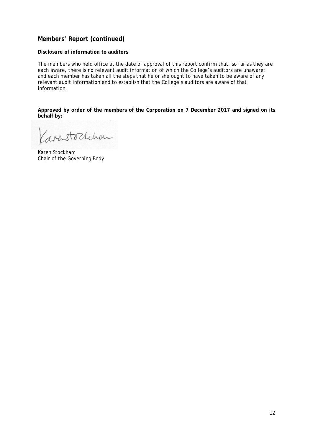#### **Disclosure of information to auditors**

The members who held office at the date of approval of this report confirm that, so far as they are each aware, there is no relevant audit information of which the College's auditors are unaware; and each member has taken all the steps that he or she ought to have taken to be aware of any relevant audit information and to establish that the College's auditors are aware of that information.

**Approved by order of the members of the Corporation on 7 December 2017 and signed on its behalf by:**

Karastochchen

Karen Stockham Chair of the Governing Body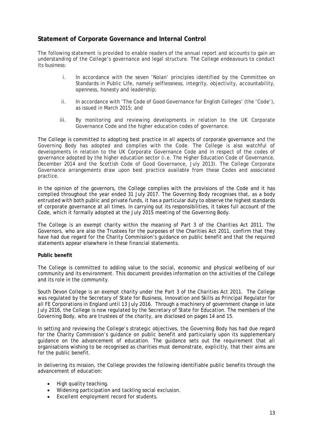# **Statement of Corporate Governance and Internal Control**

The following statement is provided to enable readers of the annual report and accounts to gain an understanding of the College's governance and legal structure. The College endeavours to conduct its business:

- i. In accordance with the seven 'Nolan' principles identified by the Committee on Standards in Public Life, namely selflessness, integrity, objectivity, accountability, openness, honesty and leadership;
- ii. In accordance with 'The Code of Good Governance for English Colleges' (the 'Code'), as issued in March 2015; and
- iii. By monitoring and reviewing developments in relation to the UK Corporate Governance Code and the higher education codes of governance.

The College is committed to adopting best practice in all aspects of corporate governance and the Governing Body has adopted and complies with the Code. The College is also watchful of developments in relation to the UK Corporate Governance Code and in respect of the codes of governance adopted by the higher education sector (i.e. The Higher Education Code of Governance, December 2014 and the Scottish Code of Good Governance, July 2013). The College Corporate Governance arrangements draw upon best practice available from these Codes and associated practice.

In the opinion of the governors, the College complies with the provisions of the Code and it has complied throughout the year ended 31 July 2017. The Governing Body recognises that, as a body entrusted with both public and private funds, it has a particular duty to observe the highest standards of corporate governance at all times. In carrying out its responsibilities, it takes full account of the Code, which it formally adopted at the July 2015 meeting of the Governing Body.

The College is an exempt charity within the meaning of Part 3 of the Charities Act 2011. The Governors, who are also the Trustees for the purposes of the Charities Act 2011, confirm that they have had due regard for the Charity Commission's guidance on public benefit and that the required statements appear elsewhere in these financial statements.

#### **Public benefit**

The College is committed to adding value to the social, economic and physical wellbeing of our community and its environment. This document provides information on the activities of the College and its role in the community.

South Devon College is an exempt charity under the Part 3 of the Charities Act 2011. The College was regulated by the Secretary of State for Business, Innovation and Skills as Principal Regulator for all FE Corporations in England until 13 July 2016. Through a machinery of government change in late July 2016, the College is now regulated by the Secretary of State for Education. The members of the Governing Body, who are trustees of the charity, are disclosed on pages 14 and 15.

In setting and reviewing the College's strategic objectives, the Governing Body has had due regard for the Charity Commission's guidance on public benefit and particularly upon its supplementary guidance on the advancement of education. The guidance sets out the requirement that all organisations wishing to be recognised as charities must demonstrate, explicitly, that their aims are for the public benefit.

In delivering its mission, the College provides the following identifiable public benefits through the advancement of education:

- High quality teaching.
- Widening participation and tackling social exclusion.
- Excellent employment record for students.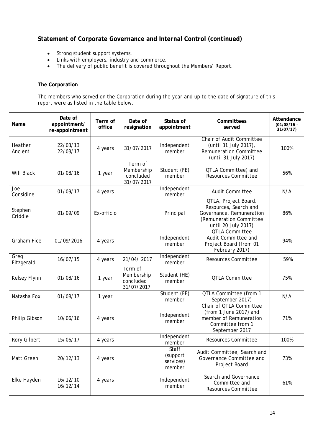- Strong student support systems.
- Links with employers, industry and commerce.
- The delivery of public benefit is covered throughout the Members' Report.

#### **The Corporation**

The members who served on the Corporation during the year and up to the date of signature of this report were as listed in the table below.

| Name               | Date of<br>appointment/<br>re-appointment | Term of<br>office | Date of<br>resignation                           | Status of<br>appointment                 | Committees<br>served                                                                                                        | Attendance<br>$(01/08/16 -$<br>31/07/17 |
|--------------------|-------------------------------------------|-------------------|--------------------------------------------------|------------------------------------------|-----------------------------------------------------------------------------------------------------------------------------|-----------------------------------------|
| Heather<br>Ancient | 22/03/13<br>22/03/17                      | 4 years           | 31/07/2017                                       | Independent<br>member                    | <b>Chair of Audit Committee</b><br>(until 31 July 2017),<br><b>Remuneration Committee</b><br>(until 31 July 2017)           | 100%                                    |
| Will Black         | 01/08/16                                  | 1 year            | Term of<br>Membership<br>concluded<br>31/07/2017 | Student (FE)<br>member                   | QTLA Committee) and<br><b>Resources Committee</b>                                                                           | 56%                                     |
| Joe<br>Considine   | 01/09/17                                  | 4 years           |                                                  | Independent<br>member                    | <b>Audit Committee</b>                                                                                                      | N/A                                     |
| Stephen<br>Criddle | 01/09/09                                  | Ex-officio        |                                                  | Principal                                | QTLA, Project Board,<br>Resources, Search and<br>Governance, Remuneration<br>(Remuneration Committee<br>until 20 July 2017) | 86%                                     |
| <b>Graham Fice</b> | 01/09/2016                                | 4 years           |                                                  | Independent<br>member                    | <b>QTLA Committee</b><br>Audit Committee and<br>Project Board (from 01<br>February 2017)                                    | 94%                                     |
| Greg<br>Fitzgerald | 16/07/15                                  | 4 years           | 21/04/2017                                       | Independent<br>member                    | <b>Resources Committee</b>                                                                                                  | 59%                                     |
| Kelsey Flynn       | 01/08/16                                  | 1 year            | Term of<br>Membership<br>concluded<br>31/07/2017 | Student (HE)<br>member                   | <b>QTLA Committee</b>                                                                                                       | 75%                                     |
| Natasha Fox        | 01/08/17                                  | 1 year            |                                                  | Student (FE)<br>member                   | <b>QTLA Committee (from 1</b><br>September 2017)                                                                            | N/A                                     |
| Philip Gibson      | 10/06/16                                  | 4 years           |                                                  | Independent<br>member                    | Chair of QTLA Committee<br>(from 1 June 2017) and<br>member of Remuneration<br>Committee from 1<br>September 2017           | 71%                                     |
| Rory Gilbert       | 15/06/17                                  | 4 years           |                                                  | Independent<br>member                    | <b>Resources Committee</b>                                                                                                  | 100%                                    |
| Matt Green         | 20/12/13                                  | 4 years           |                                                  | Staff<br>(support<br>services)<br>member | Audit Committee, Search and<br>Governance Committee and<br>Project Board                                                    | 73%                                     |
| Elke Hayden        | 16/12/10<br>16/12/14                      | 4 years           |                                                  | Independent<br>member                    | Search and Governance<br>Committee and<br>Resources Committee                                                               | 61%                                     |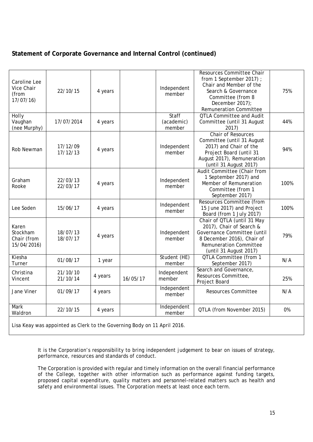| Caroline Lee<br>Vice Chair<br>(from<br>17/07/16 | 22/10/15                                                                 | 4 years |          | Independent<br>member         | Resources Committee Chair<br>from 1 September 2017);<br>Chair and Member of the<br>Search & Governance<br>Committee (from 8<br>December 2017);<br><b>Remuneration Committee</b> | 75%  |
|-------------------------------------------------|--------------------------------------------------------------------------|---------|----------|-------------------------------|---------------------------------------------------------------------------------------------------------------------------------------------------------------------------------|------|
| <b>Holly</b><br>Vaughan<br>(nee Murphy)         | 17/07/2014                                                               | 4 years |          | Staff<br>(academic)<br>member | <b>QTLA Committee and Audit</b><br>Committee (until 31 August<br>2017)                                                                                                          | 44%  |
| Rob Newman                                      | 17/12/09<br>17/12/13                                                     | 4 years |          | Independent<br>member         | <b>Chair of Resources</b><br>Committee (until 31 August<br>2017) and Chair of the<br>Project Board (until 31<br>August 2017), Remuneration<br>(until 31 August 2017)            | 94%  |
| Graham<br>Rooke                                 | 22/03/13<br>22/03/17                                                     | 4 years |          | Independent<br>member         | Audit Committee (Chair from<br>1 September 2017) and<br>Member of Remuneration<br>Committee (from 1<br>September 2017)                                                          | 100% |
| Lee Soden                                       | 15/06/17                                                                 | 4 years |          | Independent<br>member         | <b>Resources Committee (from</b><br>15 June 2017) and Project<br>Board (from 1 July 2017)                                                                                       | 100% |
| Karen<br>Stockham<br>Chair (from<br>15/04/2016) | 18/07/13<br>18/07/17                                                     | 4 years |          | Independent<br>member         | Chair of QTLA (until 31 May<br>2017), Chair of Search &<br>Governance Committee (until<br>8 December 2016), Chair of<br><b>Remuneration Committee</b><br>(until 31 August 2017) | 79%  |
| Kiesha<br>Turner                                | 01/08/17                                                                 | 1 year  |          | Student (HE)<br>member        | <b>QTLA Committee (from 1</b><br>September 2017)                                                                                                                                | N/A  |
| Christina<br>Vincent                            | 21/10/10<br>21/10/14                                                     | 4 years | 16/05/17 | Independent<br>member         | Search and Governance,<br>Resources Committee,<br>Project Board                                                                                                                 | 25%  |
| Jane Viner                                      | 01/09/17                                                                 | 4 years |          | Independent<br>member         | <b>Resources Committee</b>                                                                                                                                                      | N/A  |
| <b>Mark</b><br>Waldron                          | 22/10/15                                                                 | 4 years |          | Independent<br>member         | QTLA (from November 2015)                                                                                                                                                       | 0%   |
|                                                 | Lisa Keay was appointed as Clerk to the Governing Body on 11 April 2016. |         |          |                               |                                                                                                                                                                                 |      |

It is the Corporation's responsibility to bring independent judgement to bear on issues of strategy, performance, resources and standards of conduct.

The Corporation is provided with regular and timely information on the overall financial performance of the College, together with other information such as performance against funding targets, proposed capital expenditure, quality matters and personnel-related matters such as health and safety and environmental issues. The Corporation meets at least once each term.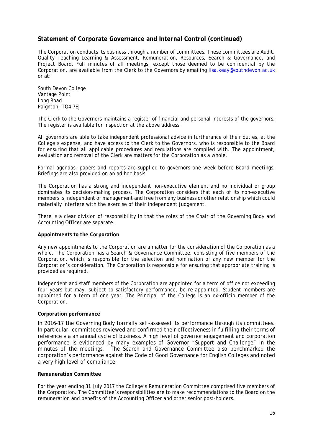The Corporation conducts its business through a number of committees. These committees are Audit, Quality Teaching Learning & Assessment, Remuneration, Resources, Search & Governance, and Project Board. Full minutes of all meetings, except those deemed to be confidential by the Corporation, are available from the Clerk to the Governors by emailing [lisa.keay@southdevon.ac.uk](mailto:lisa.keay@southdevon.ac.uk) or at:

South Devon College Vantage Point Long Road Paignton, TQ4 7EJ

The Clerk to the Governors maintains a register of financial and personal interests of the governors. The register is available for inspection at the above address.

All governors are able to take independent professional advice in furtherance of their duties, at the College's expense, and have access to the Clerk to the Governors, who is responsible to the Board for ensuring that all applicable procedures and regulations are complied with. The appointment, evaluation and removal of the Clerk are matters for the Corporation as a whole.

Formal agendas, papers and reports are supplied to governors one week before Board meetings. Briefings are also provided on an ad hoc basis.

The Corporation has a strong and independent non-executive element and no individual or group dominates its decision-making process. The Corporation considers that each of its non-executive members is independent of management and free from any business or other relationship which could materially interfere with the exercise of their independent judgement.

There is a clear division of responsibility in that the roles of the Chair of the Governing Body and Accounting Officer are separate.

#### **Appointments to the Corporation**

Any new appointments to the Corporation are a matter for the consideration of the Corporation as a whole. The Corporation has a Search & Governance Committee, consisting of five members of the Corporation, which is responsible for the selection and nomination of any new member for the Corporation's consideration. The Corporation is responsible for ensuring that appropriate training is provided as required.

Independent and staff members of the Corporation are appointed for a term of office not exceeding four years but may, subject to satisfactory performance, be re-appointed. Student members are appointed for a term of one year. The Principal of the College is an ex-officio member of the Corporation.

#### **Corporation performance**

In 2016-17 the Governing Body formally self-assessed its performance through its committees. In particular, committees reviewed and confirmed their effectiveness in fulfilling their terms of reference via an annual cycle of business. A high level of governor engagement and corporation performance is evidenced by many examples of Governor "Support and Challenge" in the minutes of the meetings. The Search and Governance Committee also benchmarked the corporation's performance against the Code of Good Governance for English Colleges and noted a very high level of compliance.

#### **Remuneration Committee**

For the year ending 31 July 2017 the College's Remuneration Committee comprised five members of the Corporation. The Committee's responsibilities are to make recommendations to the Board on the remuneration and benefits of the Accounting Officer and other senior post-holders.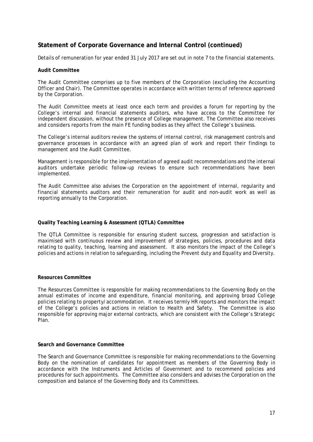Details of remuneration for year ended 31 July 2017 are set out in note 7 to the financial statements.

#### **Audit Committee**

The Audit Committee comprises up to five members of the Corporation (excluding the Accounting Officer and Chair). The Committee operates in accordance with written terms of reference approved by the Corporation.

The Audit Committee meets at least once each term and provides a forum for reporting by the College's internal and financial statements auditors, who have access to the Committee for independent discussion, without the presence of College management. The Committee also receives and considers reports from the main FE funding bodies as they affect the College's business.

The College's internal auditors review the systems of internal control, risk management controls and governance processes in accordance with an agreed plan of work and report their findings to management and the Audit Committee.

Management is responsible for the implementation of agreed audit recommendations and the internal auditors undertake periodic follow-up reviews to ensure such recommendations have been implemented.

The Audit Committee also advises the Corporation on the appointment of internal, regularity and financial statements auditors and their remuneration for audit and non-audit work as well as reporting annually to the Corporation.

#### **Quality Teaching Learning & Assessment (QTLA) Committee**

The QTLA Committee is responsible for ensuring student success, progression and satisfaction is maximised with continuous review and improvement of strategies, policies, procedures and data relating to quality, teaching, learning and assessment. It also monitors the impact of the College's policies and actions in relation to safeguarding, including the Prevent duty and Equality and Diversity.

#### **Resources Committee**

The Resources Committee is responsible for making recommendations to the Governing Body on the annual estimates of income and expenditure, financial monitoring, and approving broad College policies relating to property/accommodation. It receives termly HR reports and monitors the impact of the College's policies and actions in relation to Health and Safety. The Committee is also responsible for approving major external contracts, which are consistent with the College's Strategic Plan.

#### **Search and Governance Committee**

The Search and Governance Committee is responsible for making recommendations to the Governing Body on the nomination of candidates for appointment as members of the Governing Body in accordance with the Instruments and Articles of Government and to recommend policies and procedures for such appointments. The Committee also considers and advises the Corporation on the composition and balance of the Governing Body and its Committees.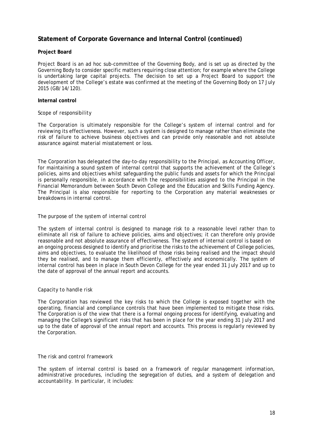#### **Project Board**

Project Board is an ad hoc sub-committee of the Governing Body, and is set up as directed by the Governing Body to consider specific matters requiring close attention; for example where the College is undertaking large capital projects. The decision to set up a Project Board to support the development of the College's estate was confirmed at the meeting of the Governing Body on 17 July 2015 (GB/14/120).

#### **Internal control**

#### *Scope of responsibility*

The Corporation is ultimately responsible for the College's system of internal control and for reviewing its effectiveness. However, such a system is designed to manage rather than eliminate the risk of failure to achieve business objectives and can provide only reasonable and not absolute assurance against material misstatement or loss.

The Corporation has delegated the day-to-day responsibility to the Principal, as Accounting Officer, for maintaining a sound system of internal control that supports the achievement of the College's policies, aims and objectives whilst safeguarding the public funds and assets for which the Principal is personally responsible, in accordance with the responsibilities assigned to the Principal in the Financial Memorandum between South Devon College and the Education and Skills Funding Agency. The Principal is also responsible for reporting to the Corporation any material weaknesses or breakdowns in internal control.

#### *The purpose of the system of internal control*

The system of internal control is designed to manage risk to a reasonable level rather than to eliminate all risk of failure to achieve policies, aims and objectives; it can therefore only provide reasonable and not absolute assurance of effectiveness. The system of internal control is based on an ongoing process designed to identify and prioritise the risks to the achievement of College policies, aims and objectives, to evaluate the likelihood of those risks being realised and the impact should they be realised, and to manage them efficiently, effectively and economically. The system of internal control has been in place in South Devon College for the year ended 31 July 2017 and up to the date of approval of the annual report and accounts.

#### *Capacity to handle risk*

The Corporation has reviewed the key risks to which the College is exposed together with the operating, financial and compliance controls that have been implemented to mitigate those risks. The Corporation is of the view that there is a formal ongoing process for identifying, evaluating and managing the College's significant risks that has been in place for the year ending 31 July 2017 and up to the date of approval of the annual report and accounts. This process is regularly reviewed by the Corporation.

#### *The risk and control framework*

The system of internal control is based on a framework of regular management information, administrative procedures, including the segregation of duties, and a system of delegation and accountability. In particular, it includes: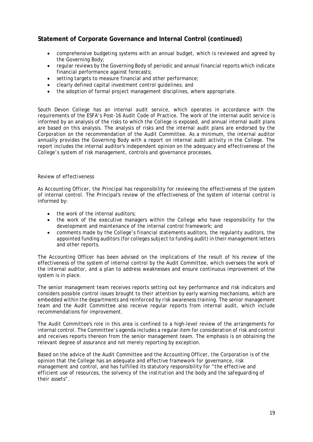- comprehensive budgeting systems with an annual budget, which is reviewed and agreed by the Governing Body;
- regular reviews by the Governing Body of periodic and annual financial reports which indicate financial performance against forecasts;
- setting targets to measure financial and other performance;
- clearly defined capital investment control guidelines; and
- the adoption of formal project management disciplines, where appropriate.

South Devon College has an internal audit service, which operates in accordance with the requirements of the ESFA's *Post-16 Audit Code of Practice.* The work of the internal audit service is informed by an analysis of the risks to which the College is exposed, and annual internal audit plans are based on this analysis. The analysis of risks and the internal audit plans are endorsed by the Corporation on the recommendation of the Audit Committee. As a minimum, the internal auditor annually provides the Governing Body with a report on internal audit activity in the College. The report includes the internal auditor's independent opinion on the adequacy and effectiveness of the College's system of risk management, controls and governance processes.

#### *Review of effectiveness*

As Accounting Officer, the Principal has responsibility for reviewing the effectiveness of the system of internal control. The Principal's review of the effectiveness of the system of internal control is informed by:

- the work of the internal auditors;
- the work of the executive managers within the College who have responsibility for the development and maintenance of the internal control framework; and
- comments made by the College's financial statements auditors, the regularity auditors, the appointed funding auditors (for colleges subject to funding audit) in their management letters and other reports.

The Accounting Officer has been advised on the implications of the result of his review of the effectiveness of the system of internal control by the Audit Committee, which oversees the work of the internal auditor, and a plan to address weaknesses and ensure continuous improvement of the system is in place.

The senior management team receives reports setting out key performance and risk indicators and considers possible control issues brought to their attention by early warning mechanisms, which are embedded within the departments and reinforced by risk awareness training. The senior management team and the Audit Committee also receive regular reports from internal audit, which include recommendations for improvement.

The Audit Committee's role in this area is confined to a high-level review of the arrangements for internal control. The Committee's agenda includes a regular item for consideration of risk and control and receives reports thereon from the senior management team. The emphasis is on obtaining the relevant degree of assurance and not merely reporting by exception.

Based on the advice of the Audit Committee and the Accounting Officer, the Corporation is of the opinion that the College has an adequate and effective framework for governance, risk management and control, and has fulfilled its statutory responsibility for "*the effective and efficient use of resources, the solvency of the institution and the body and the safeguarding of their assets*".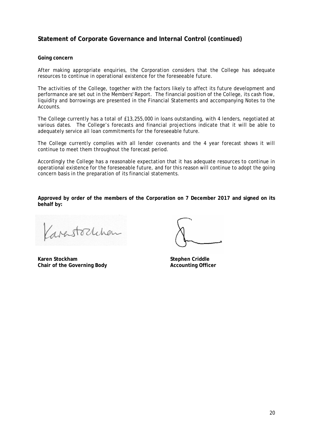#### **Going concern**

After making appropriate enquiries, the Corporation considers that the College has adequate resources to continue in operational existence for the foreseeable future.

The activities of the College, together with the factors likely to affect its future development and performance are set out in the Members' Report. The financial position of the College, its cash flow, liquidity and borrowings are presented in the Financial Statements and accompanying Notes to the Accounts.

The College currently has a total of £13,255,000 in loans outstanding, with 4 lenders, negotiated at various dates. The College's forecasts and financial projections indicate that it will be able to adequately service all loan commitments for the foreseeable future.

The College currently complies with all lender covenants and the 4 year forecast shows it will continue to meet them throughout the forecast period.

Accordingly the College has a reasonable expectation that it has adequate resources to continue in operational existence for the foreseeable future, and for this reason will continue to adopt the going concern basis in the preparation of its financial statements.

**Approved by order of the members of the Corporation on 7 December 2017 and signed on its behalf by:**

Karastochchen

**Karen Stockham Stephen Criddle Chair of the Governing Body Accounting Officer**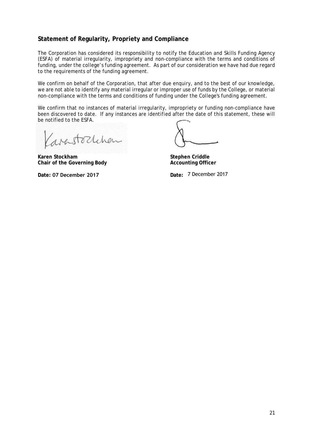# **Statement of Regularity, Propriety and Compliance**

The Corporation has considered its responsibility to notify the Education and Skills Funding Agency (ESFA) of material irregularity, impropriety and non-compliance with the terms and conditions of funding, under the college's funding agreement. As part of our consideration we have had due regard to the requirements of the funding agreement.

We confirm on behalf of the Corporation, that after due enquiry, and to the best of our knowledge, we are not able to identify any material irregular or improper use of funds by the College, or material non-compliance with the terms and conditions of funding under the College's funding agreement.

We confirm that no instances of material irregularity, impropriety or funding non-compliance have been discovered to date. If any instances are identified after the date of this statement, these will be notified to the ESFA.

arastochchen

**Karen Stockham Chair of the Governing Body** 

**Stephen Criddle Accounting Officer**

**Date: 07 December 2017 Date:** 7 December 2017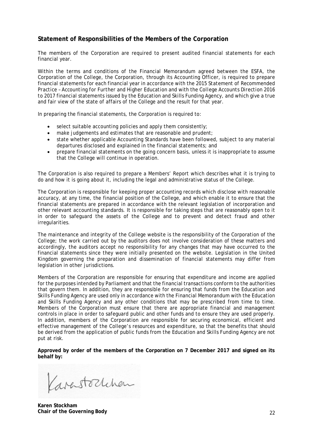# **Statement of Responsibilities of the Members of the Corporation**

The members of the Corporation are required to present audited financial statements for each financial year.

Within the terms and conditions of the Financial Memorandum agreed between the ESFA, the Corporation of the College, the Corporation, through its Accounting Officer, is required to prepare financial statements for each financial year in accordance with the *2015 Statement of Recommended Practice – Accounting for Further and Higher Education* and with the *College Accounts Direction 2016 to 2017* financial statements issued by the Education and Skills Funding Agency, and which give a true and fair view of the state of affairs of the College and the result for that year.

In preparing the financial statements, the Corporation is required to:

- select suitable accounting policies and apply them consistently;
- make judgements and estimates that are reasonable and prudent;
- state whether applicable Accounting Standards have been followed, subject to any material departures disclosed and explained in the financial statements; and
- prepare financial statements on the going concern basis, unless it is inappropriate to assume that the College will continue in operation.

The Corporation is also required to prepare a Members' Report which describes what it is trying to do and how it is going about it, including the legal and administrative status of the College.

The Corporation is responsible for keeping proper accounting records which disclose with reasonable accuracy, at any time, the financial position of the College, and which enable it to ensure that the financial statements are prepared in accordance with the relevant legislation of incorporation and other relevant accounting standards. It is responsible for taking steps that are reasonably open to it in order to safeguard the assets of the College and to prevent and detect fraud and other irregularities.

The maintenance and integrity of the College website is the responsibility of the Corporation of the College; the work carried out by the auditors does not involve consideration of these matters and accordingly, the auditors accept no responsibility for any changes that may have occurred to the financial statements since they were initially presented on the website. Legislation in the United Kingdom governing the preparation and dissemination of financial statements may differ from legislation in other jurisdictions.

Members of the Corporation are responsible for ensuring that expenditure and income are applied for the purposes intended by Parliament and that the financial transactions conform to the authorities that govern them. In addition, they are responsible for ensuring that funds from the Education and Skills Funding Agency are used only in accordance with the Financial Memorandum with the Education and Skills Funding Agency and any other conditions that may be prescribed from time to time. Members of the Corporation must ensure that there are appropriate financial and management controls in place in order to safeguard public and other funds and to ensure they are used properly. In addition, members of the Corporation are responsible for securing economical, efficient and effective management of the College's resources and expenditure, so that the benefits that should be derived from the application of public funds from the Education and Skills Funding Agency are not put at risk.

**Approved by order of the members of the Corporation on 7 December 2017 and signed on its behalf by:** 

Varastochchan

**Karen Stockham Chair of the Governing Body**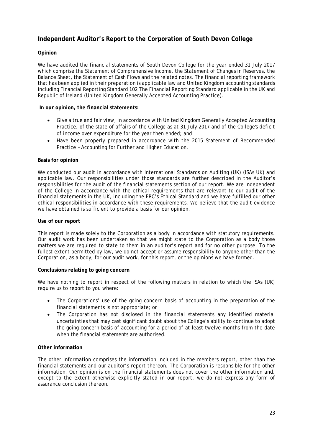# **Independent Auditor's Report to the Corporation of South Devon College**

#### **Opinion**

We have audited the financial statements of South Devon College for the year ended 31 July 2017 which comprise the Statement of Comprehensive Income, the Statement of Changes in Reserves, the Balance Sheet, the Statement of Cash Flows and the related notes. The financial reporting framework that has been applied in their preparation is applicable law and United Kingdom accounting standards including Financial Reporting Standard 102 The Financial Reporting Standard applicable in the UK and Republic of Ireland (United Kingdom Generally Accepted Accounting Practice).

#### **In our opinion, the financial statements:**

- Give a true and fair view, in accordance with United Kingdom Generally Accepted Accounting Practice, of the state of affairs of the College as at 31 July 2017 and of the College's deficit of income over expenditure for the year then ended; and
- Have been properly prepared in accordance with the 2015 Statement of Recommended Practice – Accounting for Further and Higher Education.

#### **Basis for opinion**

We conducted our audit in accordance with International Standards on Auditing (UK) (ISAs UK) and applicable law. Our responsibilities under those standards are further described in the Auditor's responsibilities for the audit of the financial statements section of our report. We are independent of the College in accordance with the ethical requirements that are relevant to our audit of the financial statements in the UK, including the FRC's Ethical Standard and we have fulfilled our other ethical responsibilities in accordance with these requirements. We believe that the audit evidence we have obtained is sufficient to provide a basis for our opinion.

#### **Use of our report**

This report is made solely to the Corporation as a body in accordance with statutory requirements. Our audit work has been undertaken so that we might state to the Corporation as a body those matters we are required to state to them in an auditor's report and for no other purpose. To the fullest extent permitted by law, we do not accept or assume responsibility to anyone other than the Corporation, as a body, for our audit work, for this report, or the opinions we have formed.

#### **Conclusions relating to going concern**

We have nothing to report in respect of the following matters in relation to which the ISAs (UK) require us to report to you where:

- The Corporations' use of the going concern basis of accounting in the preparation of the financial statements is not appropriate; or
- The Corporation has not disclosed in the financial statements any identified material uncertainties that may cast significant doubt about the College's ability to continue to adopt the going concern basis of accounting for a period of at least twelve months from the date when the financial statements are authorised.

#### **Other information**

The other information comprises the information included in the members report, other than the financial statements and our auditor's report thereon. The Corporation is responsible for the other information. Our opinion is on the financial statements does not cover the other information and, except to the extent otherwise explicitly stated in our report, we do not express any form of assurance conclusion thereon.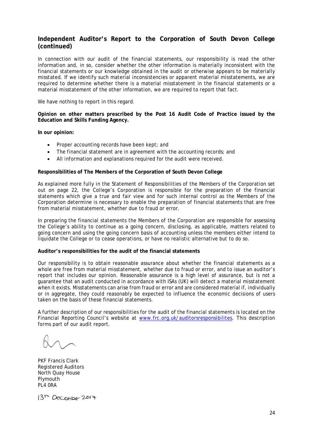# **Independent Auditor's Report to the Corporation of South Devon College (continued)**

In connection with our audit of the financial statements, our responsibility is read the other information and, in so, consider whether the other information is materially inconsistent with the financial statements or our knowledge obtained in the audit or otherwise appears to be materially misstated. If we identify such material inconsistencies or apparent material misstatements, we are required to determine whether there is a material misstatement in the financial statements or a material misstatement of the other information, we are required to report that fact.

We have nothing to report in this regard.

**Opinion on other matters prescribed by the Post 16 Audit Code of Practice issued by the Education and Skills Funding Agency.** 

**In our opinion:** 

- Proper accounting records have been kept; and
- The financial statement are in agreement with the accounting records; and
- All information and explanations required for the audit were received.

#### **Responsibilities of The Members of the Corporation of South Devon College**

As explained more fully in the Statement of Responsibilities of the Members of the Corporation set out on page 22, the College's Corporation is responsible for the preparation of the financial statements which give a true and fair view and for such internal control as the Members of the Corporation determine is necessary to enable the preparation of financial statements that are free from material misstatement, whether due to fraud or error.

In preparing the financial statements the Members of the Corporation are responsible for assessing the College's ability to continue as a going concern, disclosing, as applicable, matters related to going concern and using the going concern basis of accounting unless the members either intend to liquidate the College or to cease operations, or have no realistic alternative but to do so.

#### **Auditor's responsibilities for the audit of the financial statements**

Our responsibility is to obtain reasonable assurance about whether the financial statements as a whole are free from material misstatement, whether due to fraud or error, and to issue an auditor's report that includes our opinion. Reasonable assurance is a high level of assurance, but is not a guarantee that an audit conducted in accordance with ISAs (UK) will detect a material misstatement when it exists. Misstatements can arise from fraud or error and are considered material if, individually or in aggregate, they could reasonably be expected to influence the economic decisions of users taken on the basis of these financial statements.

A further description of our responsibilities for the audit of the financial statements is located on the Financial Reporting Council's website at [www.frc.org.uk/auditorsresponsibilites.](http://www.frc.org.uk/auditorsresponsibilites) This description forms part of our audit report.

PKF Francis Clark Registered Auditors North Quay House **Plymouth** PL4 0RA

13<sup>th</sup> December 2017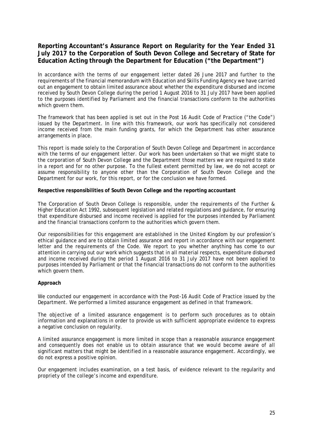# **Reporting Accountant's Assurance Report on Regularity for the Year Ended 31 July 2017 to the Corporation of South Devon College and Secretary of State for Education Acting through the Department for Education ("the Department")**

In accordance with the terms of our engagement letter dated 26 June 2017 and further to the requirements of the financial memorandum with Education and Skills Funding Agency we have carried out an engagement to obtain limited assurance about whether the expenditure disbursed and income received by South Devon College during the period 1 August 2016 to 31 July 2017 have been applied to the purposes identified by Parliament and the financial transactions conform to the authorities which govern them.

The framework that has been applied is set out in the Post 16 Audit Code of Practice ("the Code") issued by the Department. In line with this framework, our work has specifically not considered income received from the main funding grants, for which the Department has other assurance arrangements in place.

This report is made solely to the Corporation of South Devon College and Department in accordance with the terms of our engagement letter. Our work has been undertaken so that we might state to the corporation of South Devon College and the Department those matters we are required to state in a report and for no other purpose. To the fullest extent permitted by law, we do not accept or assume responsibility to anyone other than the Corporation of South Devon College and the Department for our work, for this report, or for the conclusion we have formed.

**Respective responsibilities of South Devon College and the reporting accountant** 

The Corporation of South Devon College is responsible, under the requirements of the Further & Higher Education Act 1992, subsequent legislation and related regulations and guidance, for ensuring that expenditure disbursed and income received is applied for the purposes intended by Parliament and the financial transactions conform to the authorities which govern them.

Our responsibilities for this engagement are established in the United Kingdom by our profession's ethical guidance and are to obtain limited assurance and report in accordance with our engagement letter and the requirements of the Code. We report to you whether anything has come to our attention in carrying out our work which suggests that in all material respects, expenditure disbursed and income received during the period 1 August 2016 to 31 July 2017 have not been applied to purposes intended by Parliament or that the financial transactions do not conform to the authorities which govern them.

#### **Approach**

We conducted our engagement in accordance with the Post-16 Audit Code of Practice issued by the Department. We performed a limited assurance engagement as defined in that framework.

The objective of a limited assurance engagement is to perform such procedures as to obtain information and explanations in order to provide us with sufficient appropriate evidence to express a negative conclusion on regularity.

A limited assurance engagement is more limited in scope than a reasonable assurance engagement and consequently does not enable us to obtain assurance that we would become aware of all significant matters that might be identified in a reasonable assurance engagement. Accordingly, we do not express a positive opinion.

Our engagement includes examination, on a test basis, of evidence relevant to the regularity and propriety of the college's income and expenditure.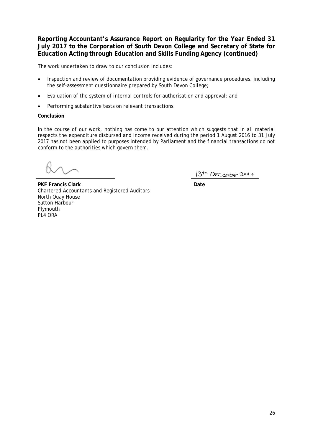**Reporting Accountant's Assurance Report on Regularity for the Year Ended 31 July 2017 to the Corporation of South Devon College and Secretary of State for Education Acting through Education and Skills Funding Agency (continued)**

The work undertaken to draw to our conclusion includes:

- Inspection and review of documentation providing evidence of governance procedures, including the self-assessment questionnaire prepared by South Devon College;
- Evaluation of the system of internal controls for authorisation and approval; and
- Performing substantive tests on relevant transactions.

#### **Conclusion**

In the course of our work, nothing has come to our attention which suggests that in all material respects the expenditure disbursed and income received during the period 1 August 2016 to 31 July 2017 has not been applied to purposes intended by Parliament and the financial transactions do not conform to the authorities which govern them.

13<sup>th</sup> December 2017

**PKF Francis Clark Date** Chartered Accountants and Registered Auditors North Quay House Sutton Harbour Plymouth PL4 ORA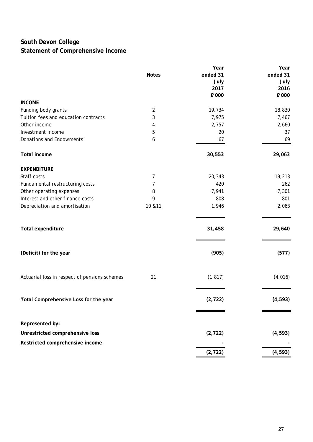# **South Devon College Statement of Comprehensive Income**

|                                               |                | Year     | Year     |
|-----------------------------------------------|----------------|----------|----------|
|                                               | <b>Notes</b>   | ended 31 | ended 31 |
|                                               |                | July     | July     |
|                                               |                | 2017     | 2016     |
|                                               |                | £'000    | £'000    |
| <b>INCOME</b>                                 |                |          |          |
| Funding body grants                           | $\overline{2}$ | 19,734   | 18,830   |
| Tuition fees and education contracts          | 3              | 7,975    | 7,467    |
| Other income                                  | 4              | 2,757    | 2,660    |
| Investment income                             | 5              | 20       | 37       |
| Donations and Endowments                      | 6              | 67       | 69       |
| <b>Total income</b>                           |                | 30,553   | 29,063   |
| <b>EXPENDITURE</b>                            |                |          |          |
| Staff costs                                   | 7              | 20,343   | 19,213   |
| Fundamental restructuring costs               | 7              | 420      | 262      |
| Other operating expenses                      | 8              | 7,941    | 7,301    |
| Interest and other finance costs              | 9              | 808      | 801      |
| Depreciation and amortisation                 | 10 & 11        | 1,946    | 2,063    |
| Total expenditure                             |                | 31,458   | 29,640   |
| (Deficit) for the year                        |                | (905)    | (577)    |
| Actuarial loss in respect of pensions schemes | 21             | (1, 817) | (4,016)  |
| Total Comprehensive Loss for the year         |                | (2, 722) | (4, 593) |
| Represented by:                               |                |          |          |
|                                               |                |          |          |
| Unrestricted comprehensive loss               |                | (2, 722) | (4, 593) |
| Restricted comprehensive income               |                |          |          |
|                                               |                | (2, 722) | (4, 593) |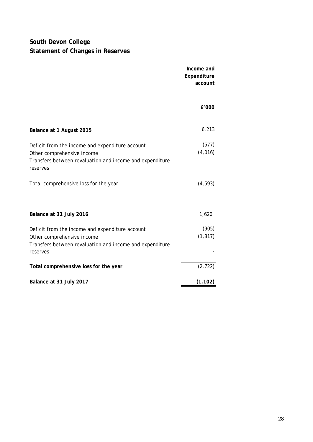# **South Devon College Statement of Changes in Reserves**

|                                                                                                                                                       | Income and<br>Expenditure<br>account |
|-------------------------------------------------------------------------------------------------------------------------------------------------------|--------------------------------------|
|                                                                                                                                                       | £'000                                |
| Balance at 1 August 2015                                                                                                                              | 6,213                                |
| Deficit from the income and expenditure account<br>Other comprehensive income<br>Transfers between revaluation and income and expenditure<br>reserves | (577)<br>(4,016)                     |
| Total comprehensive loss for the year                                                                                                                 | (4, 593)                             |
| Balance at 31 July 2016                                                                                                                               | 1,620                                |
| Deficit from the income and expenditure account<br>Other comprehensive income<br>Transfers between revaluation and income and expenditure<br>reserves | (905)<br>(1, 817)                    |
| Total comprehensive loss for the year                                                                                                                 | (2, 722)                             |
| Balance at 31 July 2017                                                                                                                               | (1, 102)                             |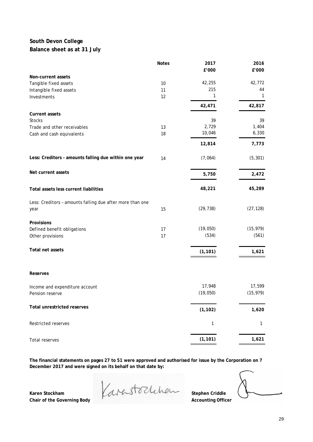# **South Devon College Balance sheet as at 31 July**

|                                                           | <b>Notes</b> | 2017      | 2016      |
|-----------------------------------------------------------|--------------|-----------|-----------|
| Non-current assets                                        |              | £'000     | £'000     |
| Tangible fixed assets                                     | 10           | 42,255    | 42,772    |
| Intangible fixed assets                                   | 11           | 215       | 44        |
| Investments                                               | 12           | 1         | 1         |
|                                                           |              | 42,471    | 42,817    |
| <b>Current assets</b>                                     |              |           |           |
| <b>Stocks</b>                                             |              | 39        | 39        |
| Trade and other receivables                               | 13           | 2,729     | 1,404     |
| Cash and cash equivalents                                 | 18           | 10,046    | 6,330     |
|                                                           |              | 12,814    | 7,773     |
| Less: Creditors - amounts falling due within one year     | 14           | (7,064)   | (5, 301)  |
| Net current assets                                        |              | 5,750     | 2,472     |
| Total assets less current liabilities                     |              | 48,221    | 45,289    |
|                                                           |              |           |           |
| Less: Creditors - amounts falling due after more than one |              |           |           |
| year                                                      | 15           | (29, 738) | (27, 128) |
| Provisions                                                |              |           |           |
| Defined benefit obligations                               | 17           | (19,050)  | (15, 979) |
| Other provisions                                          | 17           | (534)     | (561)     |
| Total net assets                                          |              | (1, 101)  | 1,621     |
|                                                           |              |           |           |
| <b>Reserves</b>                                           |              |           |           |
| Income and expenditure account                            |              | 17,948    | 17,599    |
| Pension reserve                                           |              | (19, 050) | (15, 979) |
| <b>Total unrestricted reserves</b>                        |              | (1, 102)  | 1,620     |
| Restricted reserves                                       |              | 1         | 1         |
| Total reserves                                            |              | (1, 101)  | 1,621     |
|                                                           |              |           |           |

**The financial statements on pages 27 to 51 were approved and authorised for issue by the Corporation on 7 December 2017 and were signed on its behalf on that date by:**

Karen Stockham **Karen Stockheim** Stephen Criddle **Chair of the Governing Body Accounting Officer**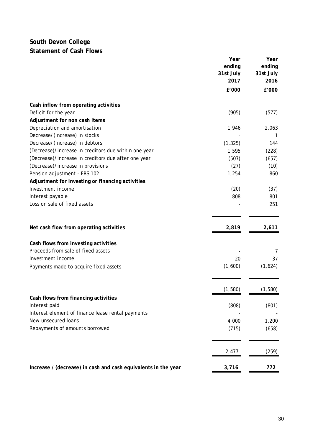# **South Devon College Statement of Cash Flows**

|                                                                | Year      | Year      |
|----------------------------------------------------------------|-----------|-----------|
|                                                                | ending    | ending    |
|                                                                | 31st July | 31st July |
|                                                                | 2017      | 2016      |
|                                                                | £'000     | £'000     |
| Cash inflow from operating activities                          |           |           |
| Deficit for the year                                           | (905)     | (577)     |
| Adjustment for non cash items                                  |           |           |
| Depreciation and amortisation                                  | 1,946     | 2,063     |
| Decrease/(increase) in stocks                                  |           |           |
| Decrease/(increase) in debtors                                 | (1, 325)  | 144       |
| (Decrease)/increase in creditors due within one year           | 1,595     | (228)     |
| (Decrease)/increase in creditors due after one year            | (507)     | (657)     |
| (Decrease)/increase in provisions                              | (27)      | (10)      |
| Pension adjustment - FRS 102                                   | 1,254     | 860       |
| Adjustment for investing or financing activities               |           |           |
| Investment income                                              | (20)      | (37)      |
| Interest payable                                               | 808       | 801       |
| Loss on sale of fixed assets                                   |           | 251       |
|                                                                |           |           |
| Net cash flow from operating activities                        | 2,819     | 2,611     |
| Cash flows from investing activities                           |           |           |
| Proceeds from sale of fixed assets                             |           | 7         |
| Investment income                                              | 20        | 37        |
| Payments made to acquire fixed assets                          | (1,600)   | (1,624)   |
|                                                                |           |           |
|                                                                | (1, 580)  | (1, 580)  |
| Cash flows from financing activities                           |           |           |
| Interest paid                                                  | (808)     | (801)     |
| Interest element of finance lease rental payments              |           |           |
| New unsecured loans                                            | 4,000     | 1,200     |
| Repayments of amounts borrowed                                 | (715)     | (658)     |
|                                                                |           |           |
|                                                                | 2,477     | (259)     |
| Increase / (decrease) in cash and cash equivalents in the year | 3,716     | 772       |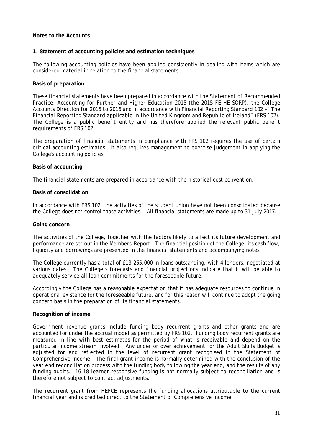#### **Notes to the Accounts**

#### **1. Statement of accounting policies and estimation techniques**

The following accounting policies have been applied consistently in dealing with items which are considered material in relation to the financial statements.

#### **Basis of preparation**

These financial statements have been prepared in accordance with the *Statement of Recommended Practice: Accounting for Further and Higher Education 2015* (the 2015 FE HE SORP), the *College Accounts Direction for 2015 to 2016* and in accordance with Financial Reporting Standard 102 – *"The Financial Reporting Standard applicable in the United Kingdom and Republic of Ireland"* (FRS 102). The College is a public benefit entity and has therefore applied the relevant public benefit requirements of FRS 102.

The preparation of financial statements in compliance with FRS 102 requires the use of certain critical accounting estimates. It also requires management to exercise judgement in applying the College's accounting policies.

#### **Basis of accounting**

The financial statements are prepared in accordance with the historical cost convention.

#### **Basis of consolidation**

In accordance with FRS 102, the activities of the student union have not been consolidated because the College does not control those activities. All financial statements are made up to 31 July 2017.

#### **Going concern**

The activities of the College, together with the factors likely to affect its future development and performance are set out in the Members' Report. The financial position of the College, its cash flow, liquidity and borrowings are presented in the financial statements and accompanying notes.

The College currently has a total of £13,255,000 in loans outstanding, with 4 lenders, negotiated at various dates. The College's forecasts and financial projections indicate that it will be able to adequately service all loan commitments for the foreseeable future.

Accordingly the College has a reasonable expectation that it has adequate resources to continue in operational existence for the foreseeable future, and for this reason will continue to adopt the going concern basis in the preparation of its financial statements.

#### **Recognition of income**

Government revenue grants include funding body recurrent grants and other grants and are accounted for under the accrual model as permitted by FRS 102. Funding body recurrent grants are measured in line with best estimates for the period of what is receivable and depend on the particular income stream involved. Any under or over achievement for the Adult Skills Budget is adjusted for and reflected in the level of recurrent grant recognised in the Statement of Comprehensive Income. The final grant income is normally determined with the conclusion of the year end reconciliation process with the funding body following the year end, and the results of any funding audits. 16-18 learner-responsive funding is not normally subject to reconciliation and is therefore not subject to contract adjustments.

The recurrent grant from HEFCE represents the funding allocations attributable to the current financial year and is credited direct to the Statement of Comprehensive Income.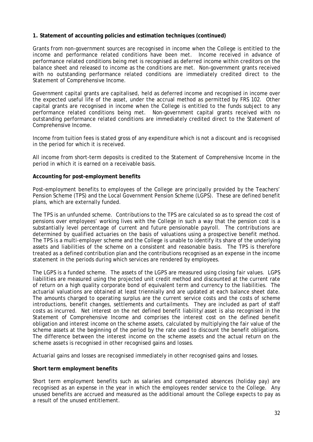Grants from non-government sources are recognised in income when the College is entitled to the income and performance related conditions have been met. Income received in advance of performance related conditions being met is recognised as deferred income within creditors on the balance sheet and released to income as the conditions are met. Non-government grants received with no outstanding performance related conditions are immediately credited direct to the Statement of Comprehensive Income.

Government capital grants are capitalised, held as deferred income and recognised in income over the expected useful life of the asset, under the accrual method as permitted by FRS 102. Other capital grants are recognised in income when the College is entitled to the funds subject to any performance related conditions being met. Non-government capital grants received with no outstanding performance related conditions are immediately credited direct to the Statement of Comprehensive Income.

Income from tuition fees is stated gross of any expenditure which is not a discount and is recognised in the period for which it is received.

All income from short-term deposits is credited to the Statement of Comprehensive Income in the period in which it is earned on a receivable basis.

#### **Accounting for post-employment benefits**

Post-employment benefits to employees of the College are principally provided by the Teachers' Pension Scheme (TPS) and the Local Government Pension Scheme (LGPS). These are defined benefit plans, which are externally funded.

The TPS is an unfunded scheme. Contributions to the TPS are calculated so as to spread the cost of pensions over employees' working lives with the College in such a way that the pension cost is a substantially level percentage of current and future pensionable payroll. The contributions are determined by qualified actuaries on the basis of valuations using a prospective benefit method. The TPS is a multi-employer scheme and the College is unable to identify its share of the underlying assets and liabilities of the scheme on a consistent and reasonable basis. The TPS is therefore treated as a defined contribution plan and the contributions recognised as an expense in the income statement in the periods during which services are rendered by employees.

The LGPS is a funded scheme. The assets of the LGPS are measured using closing fair values. LGPS liabilities are measured using the projected unit credit method and discounted at the current rate of return on a high quality corporate bond of equivalent term and currency to the liabilities. The actuarial valuations are obtained at least triennially and are updated at each balance sheet date. The amounts charged to operating surplus are the current service costs and the costs of scheme introductions, benefit changes, settlements and curtailments. They are included as part of staff costs as incurred. Net interest on the net defined benefit liability/asset is also recognised in the Statement of Comprehensive Income and comprises the interest cost on the defined benefit obligation and interest income on the scheme assets, calculated by multiplying the fair value of the scheme assets at the beginning of the period by the rate used to discount the benefit obligations. The difference between the interest income on the scheme assets and the actual return on the scheme assets is recognised in other recognised gains and losses.

Actuarial gains and losses are recognised immediately in other recognised gains and losses.

#### **Short term employment benefits**

Short term employment benefits such as salaries and compensated absences (holiday pay) are recognised as an expense in the year in which the employees render service to the College. Any unused benefits are accrued and measured as the additional amount the College expects to pay as a result of the unused entitlement.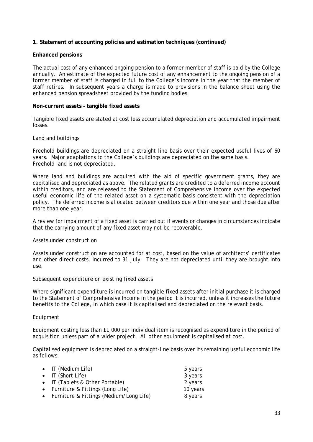#### **Enhanced pensions**

The actual cost of any enhanced ongoing pension to a former member of staff is paid by the College annually. An estimate of the expected future cost of any enhancement to the ongoing pension of a former member of staff is charged in full to the College's income in the year that the member of staff retires. In subsequent years a charge is made to provisions in the balance sheet using the enhanced pension spreadsheet provided by the funding bodies.

#### **Non-current assets - tangible fixed assets**

Tangible fixed assets are stated at cost less accumulated depreciation and accumulated impairment losses.

#### *Land and buildings*

Freehold buildings are depreciated on a straight line basis over their expected useful lives of 60 years. Major adaptations to the College's buildings are depreciated on the same basis. Freehold land is not depreciated.

Where land and buildings are acquired with the aid of specific government grants, they are capitalised and depreciated as above. The related grants are credited to a deferred income account within creditors, and are released to the Statement of Comprehensive Income over the expected useful economic life of the related asset on a systematic basis consistent with the depreciation policy. The deferred income is allocated between creditors due within one year and those due after more than one year.

A review for impairment of a fixed asset is carried out if events or changes in circumstances indicate that the carrying amount of any fixed asset may not be recoverable.

#### *Assets under construction*

Assets under construction are accounted for at cost, based on the value of architects' certificates and other direct costs, incurred to 31 July. They are not depreciated until they are brought into use.

#### *Subsequent expenditure on existing fixed assets*

Where significant expenditure is incurred on tangible fixed assets after initial purchase it is charged to the Statement of Comprehensive Income in the period it is incurred, unless it increases the future benefits to the College, in which case it is capitalised and depreciated on the relevant basis.

#### *Equipment*

Equipment costing less than £1,000 per individual item is recognised as expenditure in the period of acquisition unless part of a wider project. All other equipment is capitalised at cost.

Capitalised equipment is depreciated on a straight-line basis over its remaining useful economic life as follows:

| • IT (Medium Life)                        | 5 years  |
|-------------------------------------------|----------|
| • IT (Short Life)                         | 3 years  |
| • IT (Tablets & Other Portable)           | 2 years  |
| • Furniture & Fittings (Long Life)        | 10 years |
| • Furniture & Fittings (Medium/Long Life) | 8 years  |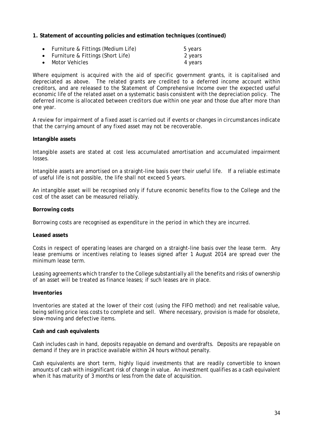- Furniture & Fittings (Medium Life) 5 years
- Furniture & Fittings (Short Life) 2 years
- Motor Vehicles 4 years

Where equipment is acquired with the aid of specific government grants, it is capitalised and depreciated as above. The related grants are credited to a deferred income account within creditors, and are released to the Statement of Comprehensive Income over the expected useful economic life of the related asset on a systematic basis consistent with the depreciation policy. The deferred income is allocated between creditors due within one year and those due after more than one year.

A review for impairment of a fixed asset is carried out if events or changes in circumstances indicate that the carrying amount of any fixed asset may not be recoverable.

#### **Intangible assets**

Intangible assets are stated at cost less accumulated amortisation and accumulated impairment losses.

Intangible assets are amortised on a straight-line basis over their useful life. If a reliable estimate of useful life is not possible, the life shall not exceed 5 years.

An intangible asset will be recognised only if future economic benefits flow to the College and the cost of the asset can be measured reliably.

#### **Borrowing costs**

Borrowing costs are recognised as expenditure in the period in which they are incurred.

#### **Leased assets**

Costs in respect of operating leases are charged on a straight-line basis over the lease term. Any lease premiums or incentives relating to leases signed after 1 August 2014 are spread over the minimum lease term.

Leasing agreements which transfer to the College substantially all the benefits and risks of ownership of an asset will be treated as finance leases; if such leases are in place.

#### **Inventories**

Inventories are stated at the lower of their cost (using the FIFO method) and net realisable value, being selling price less costs to complete and sell. Where necessary, provision is made for obsolete, slow-moving and defective items.

#### **Cash and cash equivalents**

Cash includes cash in hand, deposits repayable on demand and overdrafts. Deposits are repayable on demand if they are in practice available within 24 hours without penalty.

Cash equivalents are short term, highly liquid investments that are readily convertible to known amounts of cash with insignificant risk of change in value. An investment qualifies as a cash equivalent when it has maturity of 3 months or less from the date of acquisition.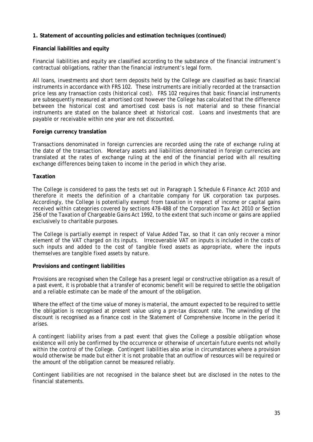#### **Financial liabilities and equity**

Financial liabilities and equity are classified according to the substance of the financial instrument's contractual obligations, rather than the financial instrument's legal form.

All loans, investments and short term deposits held by the College are classified as basic financial instruments in accordance with FRS 102. These instruments are initially recorded at the transaction price less any transaction costs (historical cost). FRS 102 requires that basic financial instruments are subsequently measured at amortised cost however the College has calculated that the difference between the historical cost and amortised cost basis is not material and so these financial instruments are stated on the balance sheet at historical cost. Loans and investments that are payable or receivable within one year are not discounted.

#### **Foreign currency translation**

Transactions denominated in foreign currencies are recorded using the rate of exchange ruling at the date of the transaction. Monetary assets and liabilities denominated in foreign currencies are translated at the rates of exchange ruling at the end of the financial period with all resulting exchange differences being taken to income in the period in which they arise.

#### **Taxation**

The College is considered to pass the tests set out in Paragraph 1 Schedule 6 Finance Act 2010 and therefore it meets the definition of a charitable company for UK corporation tax purposes. Accordingly, the College is potentially exempt from taxation in respect of income or capital gains received within categories covered by sections 478-488 of the Corporation Tax Act 2010 or Section 256 of the Taxation of Chargeable Gains Act 1992, to the extent that such income or gains are applied exclusively to charitable purposes.

The College is partially exempt in respect of Value Added Tax, so that it can only recover a minor element of the VAT charged on its inputs. Irrecoverable VAT on inputs is included in the costs of such inputs and added to the cost of tangible fixed assets as appropriate, where the inputs themselves are tangible fixed assets by nature.

#### **Provisions and contingent liabilities**

Provisions are recognised when the College has a present legal or constructive obligation as a result of a past event, it is probable that a transfer of economic benefit will be required to settle the obligation and a reliable estimate can be made of the amount of the obligation.

Where the effect of the time value of money is material, the amount expected to be required to settle the obligation is recognised at present value using a pre-tax discount rate. The unwinding of the discount is recognised as a finance cost in the Statement of Comprehensive Income in the period it arises.

A contingent liability arises from a past event that gives the College a possible obligation whose existence will only be confirmed by the occurrence or otherwise of uncertain future events not wholly within the control of the College. Contingent liabilities also arise in circumstances where a provision would otherwise be made but either it is not probable that an outflow of resources will be required or the amount of the obligation cannot be measured reliably.

Contingent liabilities are not recognised in the balance sheet but are disclosed in the notes to the financial statements.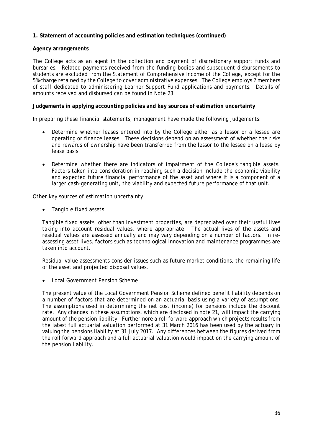#### **Agency arrangements**

The College acts as an agent in the collection and payment of discretionary support funds and bursaries. Related payments received from the funding bodies and subsequent disbursements to students are excluded from the Statement of Comprehensive Income of the College, except for the 5% charge retained by the College to cover administrative expenses. The College employs 2 members of staff dedicated to administering Learner Support Fund applications and payments. Details of amounts received and disbursed can be found in Note 23.

#### **Judgements in applying accounting policies and key sources of estimation uncertainty**

In preparing these financial statements, management have made the following judgements:

- Determine whether leases entered into by the College either as a lessor or a lessee are operating or finance leases. These decisions depend on an assessment of whether the risks and rewards of ownership have been transferred from the lessor to the lessee on a lease by lease basis.
- Determine whether there are indicators of impairment of the College's tangible assets. Factors taken into consideration in reaching such a decision include the economic viability and expected future financial performance of the asset and where it is a component of a larger cash-generating unit, the viability and expected future performance of that unit.

#### *Other key sources of estimation uncertainty*

• *Tangible fixed assets*

Tangible fixed assets, other than investment properties, are depreciated over their useful lives taking into account residual values, where appropriate. The actual lives of the assets and residual values are assessed annually and may vary depending on a number of factors. In reassessing asset lives, factors such as technological innovation and maintenance programmes are taken into account.

Residual value assessments consider issues such as future market conditions, the remaining life of the asset and projected disposal values.

• *Local Government Pension Scheme*

The present value of the Local Government Pension Scheme defined benefit liability depends on a number of factors that are determined on an actuarial basis using a variety of assumptions. The assumptions used in determining the net cost (income) for pensions include the discount rate. Any changes in these assumptions, which are disclosed in note 21, will impact the carrying amount of the pension liability. Furthermore a roll forward approach which projects results from the latest full actuarial valuation performed at 31 March 2016 has been used by the actuary in valuing the pensions liability at 31 July 2017. Any differences between the figures derived from the roll forward approach and a full actuarial valuation would impact on the carrying amount of the pension liability.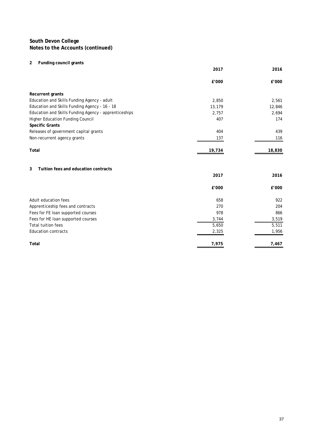#### **2 Funding council grants**

|                                                       | 2017   | 2016   |
|-------------------------------------------------------|--------|--------|
|                                                       | £'000  | £'000  |
| Recurrent grants                                      |        |        |
| Education and Skills Funding Agency - adult           | 2,850  | 2,561  |
| Education and Skills Funding Agency - 16 - 18         | 13,179 | 12,846 |
| Education and Skills Funding Agency - apprenticeships | 2,757  | 2,694  |
| Higher Education Funding Council                      | 407    | 174    |
| <b>Specific Grants</b>                                |        |        |
| Releases of government capital grants                 | 404    | 439    |
| Non-recurrent agency grants                           | 137    | 116    |
| Total                                                 | 19,734 | 18,830 |
| 3<br>Tuition fees and education contracts             |        |        |
|                                                       | 2017   | 2016   |
|                                                       | £'000  | £'000  |
| Adult education fees                                  | 658    | 922    |
| Apprenticeship fees and contracts                     | 270    | 204    |
| Fees for FE loan supported courses                    | 978    | 866    |
| Fees for HE loan supported courses                    | 3,744  | 3,519  |
| <b>Total tuition fees</b>                             | 5,650  | 5,511  |
| <b>Education contracts</b>                            | 2,325  | 1,956  |
| Total                                                 | 7,975  | 7,467  |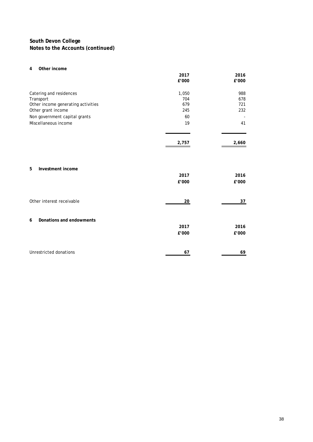#### **4 Other income**

|                                                                                                                                                           | 2017<br>£'000                          | 2016<br>£'000                  |
|-----------------------------------------------------------------------------------------------------------------------------------------------------------|----------------------------------------|--------------------------------|
| Catering and residences<br>Transport<br>Other income generating activities<br>Other grant income<br>Non government capital grants<br>Miscellaneous income | 1,050<br>704<br>679<br>245<br>60<br>19 | 988<br>678<br>721<br>232<br>41 |
|                                                                                                                                                           | 2,757                                  | 2,660                          |
| 5<br>Investment income                                                                                                                                    | 2017<br>£'000                          | 2016<br>£'000                  |
| Other interest receivable                                                                                                                                 | 20                                     | 37                             |
| Donations and endowments<br>6                                                                                                                             | 2017<br>£'000                          | 2016<br>£'000                  |
| Unrestricted donations                                                                                                                                    | 67                                     | 69                             |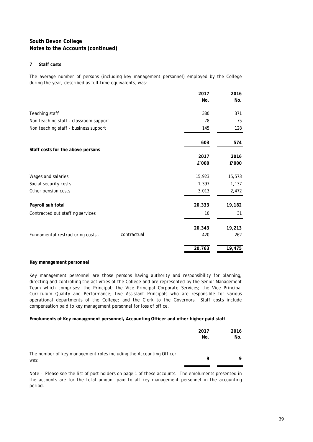#### **7 Staff costs**

The average number of persons (including key management personnel) employed by the College during the year, described as full-time equivalents, was:

|                                                  | 2017   | 2016   |
|--------------------------------------------------|--------|--------|
|                                                  | No.    | No.    |
| Teaching staff                                   | 380    | 371    |
| Non teaching staff - classroom support           | 78     | 75     |
| Non teaching staff - business support            | 145    | 128    |
|                                                  | 603    | 574    |
| Staff costs for the above persons                |        |        |
|                                                  | 2017   | 2016   |
|                                                  | £'000  | £'000  |
| Wages and salaries                               | 15,923 | 15,573 |
| Social security costs                            | 1,397  | 1,137  |
| Other pension costs                              | 3,013  | 2,472  |
| Payroll sub total                                | 20,333 | 19,182 |
| Contracted out staffing services                 | 10     | 31     |
|                                                  | 20,343 | 19,213 |
| contractual<br>Fundamental restructuring costs - | 420    | 262    |
|                                                  | 20,763 | 19,475 |

#### **Key management personnel**

Key management personnel are those persons having authority and responsibility for planning, directing and controlling the activities of the College and are represented by the Senior Management Team which comprises: the Principal; the Vice Principal Corporate Services; the Vice Principal Curriculum Quality and Performance; five Assistant Principals who are responsible for various operational departments of the College; and the Clerk to the Governors. Staff costs include compensation paid to key management personnel for loss of office.

#### **Emoluments of Key management personnel, Accounting Officer and other higher paid staff**

|                                                                             | 2017<br>No. | 2016<br>No. |
|-----------------------------------------------------------------------------|-------------|-------------|
| The number of key management roles including the Accounting Officer<br>was: | Q           | 9           |

Note - Please see the list of post holders on page 1 of these accounts. The emoluments presented in the accounts are for the total amount paid to all key management personnel in the accounting period.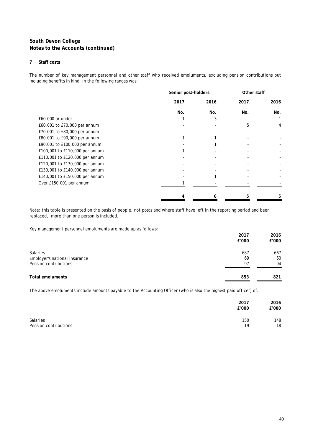#### **7 Staff costs**

The number of key management personnel and other staff who received emoluments, excluding pension contributions but including benefits in kind, in the following ranges was:

|                                | Senior post-holders |      | Other staff |      |
|--------------------------------|---------------------|------|-------------|------|
|                                | 2017                | 2016 | 2017        | 2016 |
|                                | No.                 | No.  | No.         | No.  |
| £60,000 or under               |                     | 3    |             |      |
| £60,001 to £70,000 per annum   |                     |      | 5           | 4    |
| £70,001 to £80,000 per annum   |                     |      |             |      |
| £80,001 to £90,000 per annum   |                     |      |             |      |
| £90,001 to £100,000 per annum  |                     |      |             |      |
| £100,001 to £110,000 per annum |                     |      |             |      |
| £110,001 to £120,000 per annum |                     |      |             |      |
| £120,001 to £130,000 per annum |                     |      |             |      |
| £130,001 to £140,000 per annum |                     |      |             |      |
| £140,001 to £150,000 per annum |                     |      |             |      |
| Over £150,001 per annum        |                     |      |             |      |
|                                |                     | 6    | 5           |      |

Note: this table is presented on the basis of people, not posts and where staff have left in the reporting period and been replaced, more than one person is included.

Key management personnel emoluments are made up as follows:

|                               | 2017  | 2016  |
|-------------------------------|-------|-------|
|                               | £'000 | £'000 |
| Salaries                      | 687   | 667   |
| Employer's national insurance | 69    | 60    |
| Pension contributions         | 97    | 94    |
| <b>Total emoluments</b>       | 853   | 821   |

The above emoluments include amounts payable to the Accounting Officer (who is also the highest paid officer) of:

|                       | 2017<br>£'000 | 2016<br>£'000 |
|-----------------------|---------------|---------------|
| <b>Salaries</b>       | 150           | 148           |
| Pension contributions | 19            | 18            |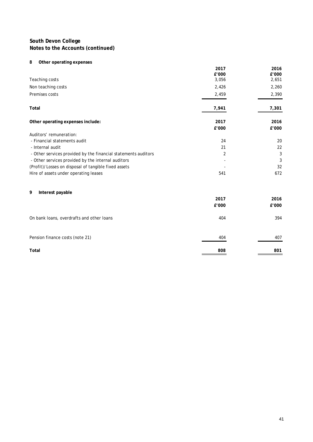#### **8 Other operating expenses**

|                                                                | 2017<br>£'000 | 2016<br>£'000 |
|----------------------------------------------------------------|---------------|---------------|
| Teaching costs                                                 | 3,056         | 2,651         |
| Non teaching costs                                             | 2,426         | 2,260         |
| Premises costs                                                 | 2,459         | 2,390         |
| Total                                                          | 7,941         | 7,301         |
| Other operating expenses include:                              | 2017<br>£'000 | 2016<br>£'000 |
| Auditors' remuneration:                                        |               |               |
| - Financial statements audit                                   | 24            | 20            |
| - Internal audit                                               | 21            | 22            |
| - Other services provided by the financial statements auditors | 2             | 3             |
| - Other services provided by the internal auditors             |               | 3             |
| (Profit)/Losses on disposal of tangible fixed assets           |               | 32            |
| Hire of assets under operating leases                          | 541           | 672           |
| 9<br>Interest payable                                          |               |               |
|                                                                | 2017          | 2016          |
|                                                                | £'000         | £'000         |
| On bank loans, overdrafts and other loans                      | 404           | 394           |
| Pension finance costs (note 21)                                | 404           | 407           |
| Total                                                          | 808           | 801           |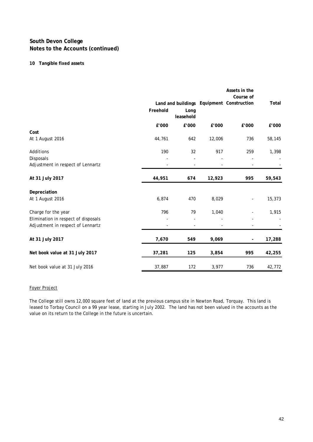#### **10 Tangible fixed assets**

|                                     | Freehold                 | Long<br>leasehold |                          | Assets in the<br>Course of<br>Land and buildings Equipment Construction | Total  |
|-------------------------------------|--------------------------|-------------------|--------------------------|-------------------------------------------------------------------------|--------|
|                                     | £'000                    | £'000             | £'000                    | £'000                                                                   | £'000  |
| Cost                                |                          |                   |                          |                                                                         |        |
| At 1 August 2016                    | 44,761                   | 642               | 12,006                   | 736                                                                     | 58,145 |
| Additions                           | 190                      | 32                | 917                      | 259                                                                     | 1,398  |
| Disposals                           |                          |                   |                          |                                                                         |        |
| Adjustment in respect of Lennartz   | $\overline{\phantom{a}}$ | $\overline{a}$    | $\overline{\phantom{a}}$ |                                                                         |        |
| At 31 July 2017                     | 44,951                   | 674               | 12,923                   | 995                                                                     | 59,543 |
| Depreciation                        |                          |                   |                          |                                                                         |        |
| At 1 August 2016                    | 6,874                    | 470               | 8,029                    |                                                                         | 15,373 |
| Charge for the year                 | 796                      | 79                | 1,040                    |                                                                         | 1,915  |
| Elimination in respect of disposals |                          |                   |                          |                                                                         |        |
| Adjustment in respect of Lennartz   |                          |                   |                          |                                                                         |        |
| At 31 July 2017                     | 7,670                    | 549               | 9,069                    | $\overline{\phantom{a}}$                                                | 17,288 |
| Net book value at 31 July 2017      | 37,281                   | 125               | 3,854                    | 995                                                                     | 42,255 |
| Net book value at 31 July 2016      | 37,887                   | 172               | 3,977                    | 736                                                                     | 42,772 |

#### Foyer Project

The College still owns 12,000 square feet of land at the previous campus site in Newton Road, Torquay. This land is leased to Torbay Council on a 99 year lease, starting in July 2002. The land has not been valued in the accounts as the value on its return to the College in the future is uncertain.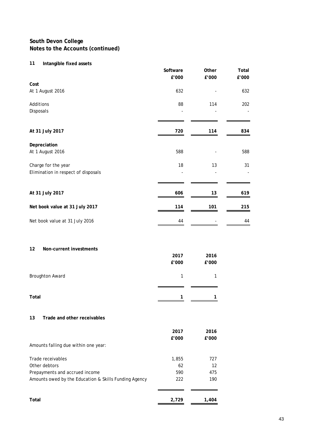# **11 Intangible fixed assets**

|                                                       | Software<br>£'000 | Other<br>£'000 | Total<br>£'000 |
|-------------------------------------------------------|-------------------|----------------|----------------|
| Cost                                                  |                   |                |                |
| At 1 August 2016                                      | 632               |                | 632            |
| Additions                                             | 88                | 114            | 202            |
| Disposals                                             |                   |                |                |
| At 31 July 2017                                       | 720               | 114            | 834            |
|                                                       |                   |                |                |
| Depreciation                                          |                   |                |                |
| At 1 August 2016                                      | 588               |                | 588            |
| Charge for the year                                   | 18                | 13             | 31             |
| Elimination in respect of disposals                   |                   |                |                |
|                                                       |                   |                |                |
| At 31 July 2017                                       | 606               | 13             | 619            |
| Net book value at 31 July 2017                        | 114               | 101            | 215            |
| Net book value at 31 July 2016                        | 44                |                | 44             |
| 12<br>Non-current investments                         |                   |                |                |
|                                                       | 2017<br>£'000     | 2016<br>£'000  |                |
| <b>Broughton Award</b>                                | $\mathbf{1}$      | 1              |                |
| Total                                                 | 1                 | 1              |                |
|                                                       |                   |                |                |
| 13<br>Trade and other receivables                     |                   |                |                |
|                                                       | 2017              | 2016           |                |
| Amounts falling due within one year:                  | £'000             | £'000          |                |
| Trade receivables                                     | 1,855             | 727            |                |
| Other debtors                                         | 62                | 12             |                |
| Prepayments and accrued income                        | 590               | 475            |                |
| Amounts owed by the Education & Skills Funding Agency | 222               | 190            |                |
| Total                                                 | 2,729             | 1,404          |                |
|                                                       |                   |                |                |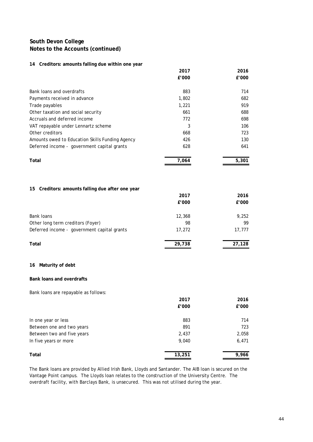#### **14 Creditors: amounts falling due within one year**

|                                                 | 2017  | 2016  |
|-------------------------------------------------|-------|-------|
|                                                 | £'000 | £'000 |
| Bank loans and overdrafts                       | 883   | 714   |
| Payments received in advance                    | 1,802 | 682   |
| Trade payables                                  | 1,221 | 919   |
| Other taxation and social security              | 661   | 688   |
| Accruals and deferred income                    | 772   | 698   |
| VAT repayable under Lennartz scheme             | 3     | 106   |
| Other creditors                                 | 668   | 723   |
| Amounts owed to Education Skills Funding Agency | 426   | 130   |
| Deferred income - government capital grants     | 628   | 641   |
| Total                                           | 7.064 | 5.301 |

#### **15 Creditors: amounts falling due after one year**

|                                             | 2017   | 2016   |
|---------------------------------------------|--------|--------|
|                                             | £'000  | £'000  |
| <b>Bank loans</b>                           | 12,368 | 9,252  |
| Other long term creditors (Foyer)           | 98     | 99     |
| Deferred income - government capital grants | 17,272 | 17,777 |
| Total                                       | 29,738 | 27,128 |

#### **16 Maturity of debt**

#### **Bank loans and overdrafts**

Bank loans are repayable as follows:

|                            | 2017   | 2016  |
|----------------------------|--------|-------|
|                            | £'000  | £'000 |
| In one year or less        | 883    | 714   |
| Between one and two years  | 891    | 723   |
| Between two and five years | 2,437  | 2,058 |
| In five years or more      | 9,040  | 6,471 |
| Total                      | 13,251 | 9,966 |

The Bank loans are provided by Allied Irish Bank, Lloyds and Santander. The AIB loan is secured on the Vantage Point campus. The Lloyds loan relates to the construction of the University Centre. The overdraft facility, with Barclays Bank, is unsecured. This was not utilised during the year.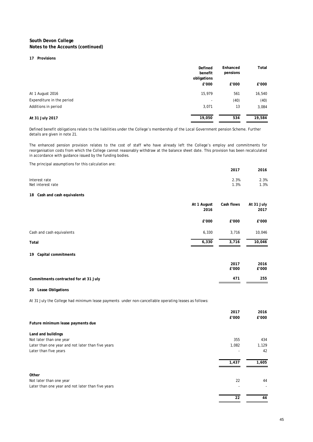#### **17 Provisions**

|                           | Defined<br>benefit<br>obligations | Enhanced<br>pensions | Total  |
|---------------------------|-----------------------------------|----------------------|--------|
|                           | £'000                             | £'000                | £'000  |
| At 1 August 2016          | 15,979                            | 561                  | 16,540 |
| Expenditure in the period |                                   | (40)                 | (40)   |
| Additions in period       | 3,071                             | 13                   | 3,084  |
| At 31 July 2017           | 19,050                            | 534                  | 19,584 |

Defined benefit obligations relate to the liabilities under the College's membership of the Local Government pension Scheme. Further details are given in note 21.

The enhanced pension provision relates to the cost of staff who have already left the College's employ and commitments for reorganisation costs from which the College cannot reasonably withdraw at the balance sheet date. This provision has been recalculated in accordance with guidance issued by the funding bodies.

| The principal assumptions for this calculation are: |             |            |            |
|-----------------------------------------------------|-------------|------------|------------|
|                                                     |             | 2017       | 2016       |
| Interest rate                                       |             | 2.3%       | 2.3%       |
| Net interest rate                                   |             | 1.3%       | 1.3%       |
| Cash and cash equivalents<br>18                     |             |            |            |
|                                                     | At 1 August | Cash flows | At 31 July |
|                                                     | 2016        |            | 2017       |
|                                                     | £'000       | £'000      | £'000      |
| Cash and cash equivalents                           | 6,330       | 3,716      | 10,046     |
| Total                                               | 6,330       | 3,716      | 10,046     |
| Capital commitments<br>19                           |             |            |            |
|                                                     |             | 2017       | 2016       |
|                                                     |             | £'000      | £'000      |

| Commitments contracted for at 31 July | 471 | 255 |
|---------------------------------------|-----|-----|
|                                       |     |     |

#### **20 Lease Obligations**

At 31 July the College had minimum lease payments under non-cancellable operating leases as follows:

|                                                   | 2017  | 2016  |
|---------------------------------------------------|-------|-------|
|                                                   | £'000 | £'000 |
| Future minimum lease payments due                 |       |       |
| Land and buildings                                |       |       |
| Not later than one year                           | 355   | 434   |
| Later than one year and not later than five years | 1,082 | 1,129 |
| Later than five years                             |       | 42    |
|                                                   | 1,437 | 1,605 |
| Other                                             |       |       |
| Not later than one year                           | 22    | 44    |
| Later than one year and not later than five years |       |       |
|                                                   | 22    | 44    |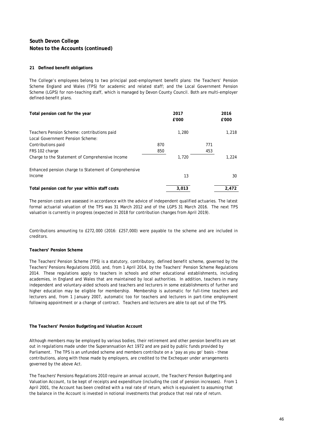#### **21 Defined benefit obligations**

The College's employees belong to two principal post-employment benefit plans: the Teachers' Pension Scheme England and Wales (TPS) for academic and related staff; and the Local Government Pension Scheme (LGPS) for non-teaching staff, which is managed by Devon County Council. Both are multi-employer defined-benefit plans.

| Total pension cost for the year                       |     | 2017<br>£'000 |     | 2016<br>£'000 |
|-------------------------------------------------------|-----|---------------|-----|---------------|
| Teachers Pension Scheme: contributions paid           |     | 1,280         |     | 1,218         |
| Local Government Pension Scheme:                      |     |               |     |               |
| Contributions paid                                    | 870 |               | 771 |               |
| FRS 102 charge                                        | 850 |               | 453 |               |
| Charge to the Statement of Comprehensive Income       |     | 1,720         |     | 1,224         |
| Enhanced pension charge to Statement of Comprehensive |     |               |     |               |
| Income                                                |     | 13            |     | 30            |
| Total pension cost for year within staff costs        |     | 3,013         |     | 2,472         |

The pension costs are assessed in accordance with the advice of independent qualified actuaries. The latest formal actuarial valuation of the TPS was 31 March 2012 and of the LGPS 31 March 2016. The next TPS valuation is currently in progress (expected in 2018 for contribution changes from April 2019).

Contributions amounting to £272,000 (2016: £257,000) were payable to the scheme and are included in creditors.

#### **Teachers' Pension Scheme**

The Teachers' Pension Scheme (TPS) is a statutory, contributory, defined benefit scheme, governed by the Teachers' Pensions Regulations 2010, and, from 1 April 2014, by the Teachers' Pension Scheme Regulations 2014. These regulations apply to teachers in schools and other educational establishments, including academies, in England and Wales that are maintained by local authorities. In addition, teachers in many independent and voluntary-aided schools and teachers and lecturers in some establishments of further and higher education may be eligible for membership. Membership is automatic for full-time teachers and lecturers and, from 1 January 2007, automatic too for teachers and lecturers in part-time employment following appointment or a change of contract. Teachers and lecturers are able to opt out of the TPS.

#### **The Teachers' Pension Budgeting and Valuation Account**

Although members may be employed by various bodies, their retirement and other pension benefits are set out in regulations made under the Superannuation Act 1972 and are paid by public funds provided by Parliament. The TPS is an unfunded scheme and members contribute on a 'pay as you go' basis – these contributions, along with those made by employers, are credited to the Exchequer under arrangements governed by the above Act.

The Teachers' Pensions Regulations 2010 require an annual account, the Teachers' Pension Budgeting and Valuation Account, to be kept of receipts and expenditure (including the cost of pension increases). From 1 April 2001, the Account has been credited with a real rate of return, which is equivalent to assuming that the balance in the Account is invested in notional investments that produce that real rate of return.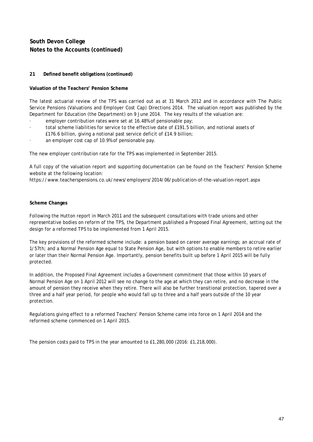#### **21 Defined benefit obligations (continued)**

#### **Valuation of the Teachers' Pension Scheme**

The latest actuarial review of the TPS was carried out as at 31 March 2012 and in accordance with The Public Service Pensions (Valuations and Employer Cost Cap) Directions 2014. The valuation report was published by the Department for Education (the Department) on 9 June 2014. The key results of the valuation are:

- employer contribution rates were set at 16.48% of pensionable pay;
- total scheme liabilities for service to the effective date of £191.5 billion, and notional assets of
- £176.6 billion, giving a notional past service deficit of £14.9 billion;
- an employer cost cap of 10.9% of pensionable pay.

The new employer contribution rate for the TPS was implemented in September 2015.

A full copy of the valuation report and supporting documentation can be found on the Teachers' Pension Scheme website at the following location:

https://www.teacherspensions.co.uk/news/employers/2014/06/publication-of-the-valuation-report.aspx

#### **Scheme Changes**

Following the Hutton report in March 2011 and the subsequent consultations with trade unions and other representative bodies on reform of the TPS, the Department published a Proposed Final Agreement, setting out the design for a reformed TPS to be implemented from 1 April 2015.

The key provisions of the reformed scheme include: a pension based on career average earnings; an accrual rate of 1/57th; and a Normal Pension Age equal to State Pension Age, but with options to enable members to retire earlier or later than their Normal Pension Age. Importantly, pension benefits built up before 1 April 2015 will be fully protected.

In addition, the Proposed Final Agreement includes a Government commitment that those within 10 years of Normal Pension Age on 1 April 2012 will see no change to the age at which they can retire, and no decrease in the amount of pension they receive when they retire. There will also be further transitional protection, tapered over a three and a half year period, for people who would fall up to three and a half years outside of the 10 year protection.

Regulations giving effect to a reformed Teachers' Pension Scheme came into force on 1 April 2014 and the reformed scheme commenced on 1 April 2015.

The pension costs paid to TPS in the year amounted to £1,280,000 (2016: £1,218,000).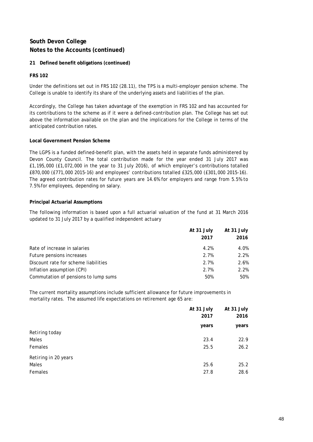#### **21 Defined benefit obligations (continued)**

#### **FRS 102**

Under the definitions set out in FRS 102 (28.11), the TPS is a multi-employer pension scheme. The College is unable to identify its share of the underlying assets and liabilities of the plan.

Accordingly, the College has taken advantage of the exemption in FRS 102 and has accounted for its contributions to the scheme as if it were a defined-contribution plan. The College has set out above the information available on the plan and the implications for the College in terms of the anticipated contribution rates.

#### **Local Government Pension Scheme**

The LGPS is a funded defined-benefit plan, with the assets held in separate funds administered by Devon County Council. The total contribution made for the year ended 31 July 2017 was £1,195,000 (£1,072,000 in the year to 31 July 2016), of which employer's contributions totalled £870,000 (£771,000 2015-16) and employees' contributions totalled £325,000 (£301,000 2015-16). The agreed contribution rates for future years are 14.6% for employers and range from 5.5% to 7.5% for employees, depending on salary.

#### **Principal Actuarial Assumptions**

The following information is based upon a full actuarial valuation of the fund at 31 March 2016 updated to 31 July 2017 by a qualified independent actuary

|                                      | At 31 July | At 31 July |
|--------------------------------------|------------|------------|
|                                      | 2017       | 2016       |
| Rate of increase in salaries         | 4.2%       | 4.0%       |
| Future pensions increases            | 2.7%       | 2.2%       |
| Discount rate for scheme liabilities | 2.7%       | 2.6%       |
| Inflation assumption (CPI)           | 2.7%       | 2.2%       |
| Commutation of pensions to lump sums | 50%        | 50%        |

The current mortality assumptions include sufficient allowance for future improvements in mortality rates. The assumed life expectations on retirement age 65 are:

|                      | At 31 July<br>2017 | At 31 July<br>2016 |
|----------------------|--------------------|--------------------|
|                      | years              | years              |
| Retiring today       |                    |                    |
| Males                | 23.4               | 22.9               |
| <b>Females</b>       | 25.5               | 26.2               |
| Retiring in 20 years |                    |                    |
| Males                | 25.6               | 25.2               |
| Females              | 27.8               | 28.6               |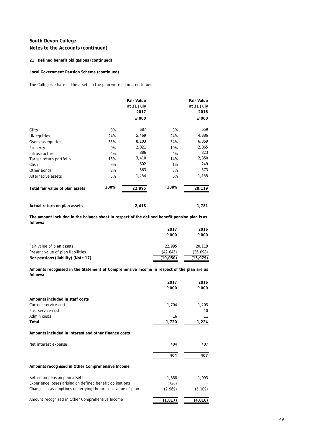#### **21 Defined benefit obligations (continued)**

#### **Local Government Pension Scheme (continued)**

The College's share of the assets in the plan were estimated to be:

|                                 |      | <b>Fair Value</b><br>at 31 July<br>2017<br>£'000 |      | <b>Fair Value</b><br>at 31 July<br>2016<br>£'000 |
|---------------------------------|------|--------------------------------------------------|------|--------------------------------------------------|
| Gilts                           | 3%   | 687                                              | 3%   | 659                                              |
| UK equities                     | 24%  | 5,469                                            | 24%  | 4,886                                            |
| Overseas equities               | 35%  | 8,103                                            | 34%  | 6,859                                            |
| Property                        | 9%   | 2,021                                            | 10%  | 2,065                                            |
| Infrastructure                  | 4%   | 886                                              | 4%   | 823                                              |
| Target return portfolio         | 15%  | 3,410                                            | 14%  | 2,850                                            |
| Cash                            | 3%   | 602                                              | 1%   | 249                                              |
| Other bonds                     | 2%   | 563                                              | 3%   | 573                                              |
| Alternative assets              | 5%   | 1,254                                            | 6%   | 1,155                                            |
| Total fair value of plan assets | 100% | 22,995                                           | 100% | 20,119                                           |
| Actual return on plan assets    |      | 2,418                                            |      | 1,781                                            |

**The amount included in the balance sheet in respect of the defined benefit pension plan is as follows:**

|                                    | 2017      | 2016     |
|------------------------------------|-----------|----------|
|                                    | £'000     | £'000    |
| Fair value of plan assets          | 22,995    | 20.119   |
| Present value of plan liabilities  | (42, 045) | (36,098) |
| Net pensions (liability) (Note 17) | (19,050)  | (15.979) |

**Amounts recognised in the Statement of Comprehensive Income in respect of the plan are as follows:**

|                                                             | 2017     | 2016     |
|-------------------------------------------------------------|----------|----------|
|                                                             | £'000    | £'000    |
| Amounts included in staff costs                             |          |          |
| Current service cost                                        | 1,704    | 1,203    |
| Past service cost                                           |          | 10       |
| Admin costs                                                 | 16       | 11       |
| Total                                                       | 1,720    | 1,224    |
| Amounts included in interest and other finance costs        |          |          |
| Net interest expense                                        | 404      | 407      |
|                                                             | 404      | 407      |
| Amounts recognised in Other Comprehensive Income            |          |          |
| Return on pension plan assets                               | 1,888    | 1,093    |
| Experience losses arising on defined benefit obligations    | (736)    |          |
| Changes in assumptions underlying the present value of plan | (2,969)  | (5, 109) |
| Amount recognised in Other Comprehensive Income             | (1, 817) | (4,016)  |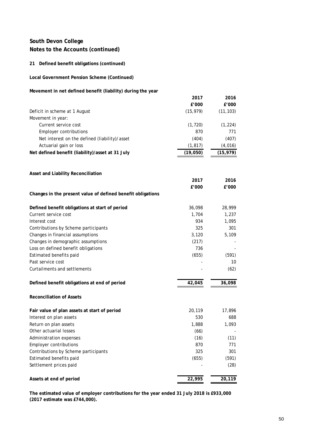#### **21 Defined benefit obligations (continued)**

#### **Local Government Pension Scheme (Continued)**

#### **Movement in net defined benefit (liability) during the year**

|                                                             | 2017      | 2016      |
|-------------------------------------------------------------|-----------|-----------|
|                                                             | £'000     | £'000     |
| Deficit in scheme at 1 August                               | (15, 979) | (11, 103) |
| Movement in year:                                           |           |           |
| Current service cost                                        | (1, 720)  | (1, 224)  |
| <b>Employer contributions</b>                               | 870       | 771       |
| Net interest on the defined (liability)/asset               | (404)     | (407)     |
| Actuarial gain or loss                                      | (1, 817)  | (4,016)   |
| Net defined benefit (liability)/asset at 31 July            | (19,050)  | (15, 979) |
|                                                             |           |           |
| Asset and Liability Reconciliation                          |           |           |
|                                                             | 2017      | 2016      |
|                                                             | £'000     | £'000     |
| Changes in the present value of defined benefit obligations |           |           |
| Defined benefit obligations at start of period              | 36,098    | 28,999    |
| Current service cost                                        | 1,704     | 1,237     |
| Interest cost                                               | 934       | 1,095     |
| Contributions by Scheme participants                        | 325       | 301       |
| Changes in financial assumptions                            | 3,120     | 5,109     |
| Changes in demographic assumptions                          | (217)     |           |
| Loss on defined benefit obligations                         | 736       |           |
| Estimated benefits paid                                     | (655)     | (591)     |
| Past service cost                                           |           | 10        |
| Curtailments and settlements                                |           | (62)      |
| Defined benefit obligations at end of period                | 42,045    | 36,098    |
| <b>Reconciliation of Assets</b>                             |           |           |
| Fair value of plan assets at start of period                | 20,119    | 17,896    |
| Interest on plan assets                                     | 530       | 688       |
| Return on plan assets                                       | 1,888     | 1,093     |
| Other actuarial losses                                      | (66)      |           |
| Administration expenses                                     | (16)      | (11)      |
| <b>Employer contributions</b>                               | 870       | 771       |
| Contributions by Scheme participants                        | 325       | 301       |
| Estimated benefits paid                                     | (655)     | (591)     |
| Settlement prices paid                                      |           | (28)      |
| Assets at end of period                                     | 22,995    | 20,119    |

**The estimated value of employer contributions for the year ended 31 July 2018 is £933,000 (2017 estimate was £744,000).**